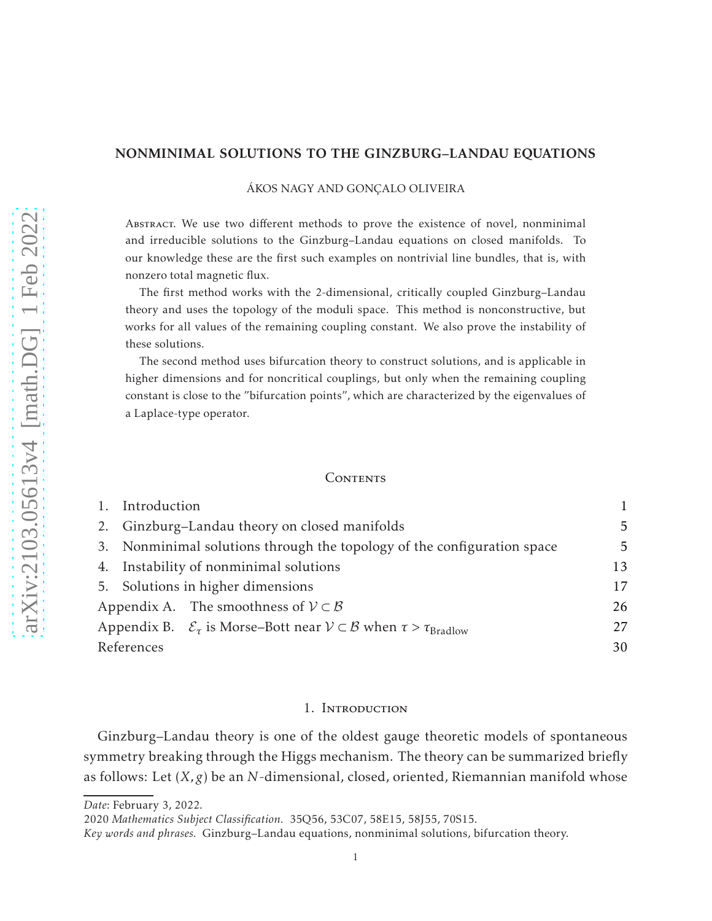# NONMINIMAL SOLUTIONS TO THE GINZBURG–LANDAU EQUATIONS

## ÁKOS NAGY AND GONÇALO OLIVEIRA

Abstract. We use two different methods to prove the existence of novel, nonminimal and irreducible solutions to the Ginzburg–Landau equations on closed manifolds. To our knowledge these are the first such examples on nontrivial line bundles, that is, with nonzero total magnetic flux.

The first method works with the 2-dimensional, critically coupled Ginzburg–Landau theory and uses the topology of the moduli space. This method is nonconstructive, but works for all values of the remaining coupling constant. We also prove the instability of these solutions.

The second method uses bifurcation theory to construct solutions, and is applicable in higher dimensions and for noncritical couplings, but only when the remaining coupling constant is close to the "bifurcation points", which are characterized by the eigenvalues of a Laplace-type operator.

#### **CONTENTS**

|                                             | Introduction                                                            |                                                                                                                 |    |
|---------------------------------------------|-------------------------------------------------------------------------|-----------------------------------------------------------------------------------------------------------------|----|
|                                             | 2. Ginzburg-Landau theory on closed manifolds                           |                                                                                                                 | 5  |
|                                             | 3. Nonminimal solutions through the topology of the configuration space |                                                                                                                 | 5  |
|                                             | 4. Instability of nonminimal solutions                                  |                                                                                                                 | 13 |
|                                             | 5. Solutions in higher dimensions                                       |                                                                                                                 | 17 |
| Appendix A. The smoothness of $V \subset B$ |                                                                         | 26                                                                                                              |    |
|                                             |                                                                         | Appendix B. $\mathcal{E}_{\tau}$ is Morse–Bott near $V \subset \mathcal{B}$ when $\tau > \tau_{\text{Bradlow}}$ | 27 |
| References                                  |                                                                         | 30                                                                                                              |    |

### 1. Introduction

<span id="page-0-0"></span>Ginzburg–Landau theory is one of the oldest gauge theoretic models of spontaneous symmetry breaking through the Higgs mechanism. The theory can be summarized briefly as follows: Let (*X,g*) be an *N*-dimensional, closed, oriented, Riemannian manifold whose

*Date*: February 3, 2022.

<sup>2020</sup> *Mathematics Subject Classification.* 35Q56, 53C07, 58E15, 58J55, 70S15.

*Key words and phrases.* Ginzburg–Landau equations, nonminimal solutions, bifurcation theory.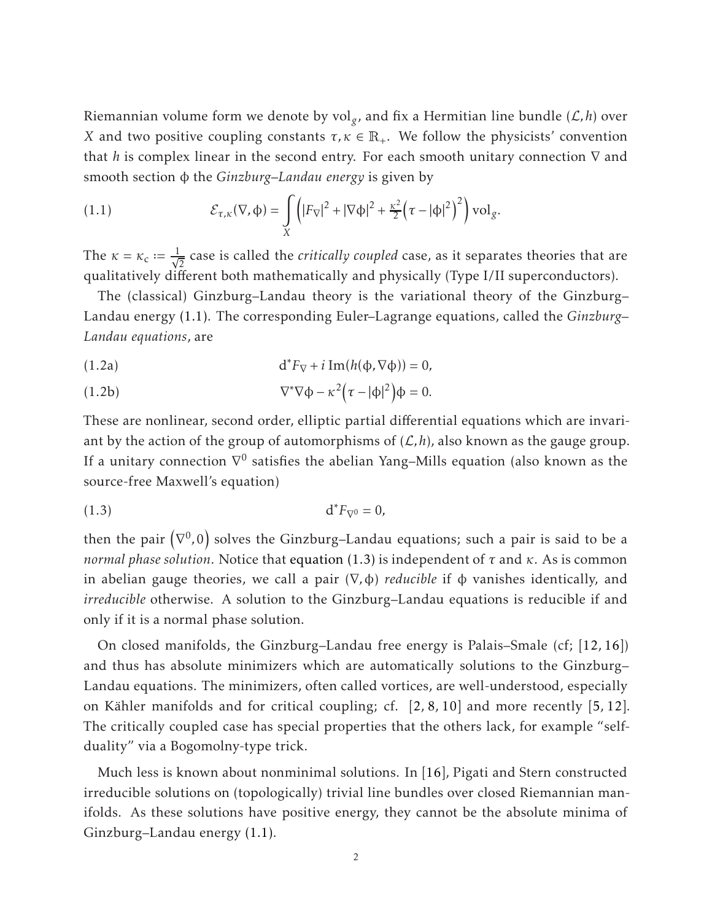Riemannian volume form we denote by vol*<sup>g</sup>* , and fix a Hermitian line bundle (L*, h*) over *X* and two positive coupling constants  $\tau, \kappa \in \mathbb{R}_+$ . We follow the physicists' convention that *h* is complex linear in the second entry. For each smooth unitary connection ∇ and smooth section φ the *Ginzburg–Landau energy* is given by

<span id="page-1-0"></span>(1.1) 
$$
\mathcal{E}_{\tau,\kappa}(\nabla,\phi)=\int\limits_X \Bigl(|F_{\nabla}|^2+|\nabla\phi|^2+\frac{\kappa^2}{2}\Bigl(\tau-|\phi|^2\Bigr)^2\Bigr)\, \mathrm{vol}_g.
$$

The  $\kappa = \kappa_c := \frac{1}{\sqrt{2}}$  case is called the *critically coupled* case, as it separates theories that are qualitatively different both mathematically and physically (Type I/II superconductors).

The (classical) Ginzburg–Landau theory is the variational theory of the Ginzburg– Landau energy [\(1.1\).](#page-1-0) The corresponding Euler–Lagrange equations, called the *Ginzburg– Landau equations*, are

<span id="page-1-2"></span>(1.2a) 
$$
d^* F_{\nabla} + i \operatorname{Im} (h(\Phi, \nabla \Phi)) = 0,
$$

<span id="page-1-3"></span>(1.2b) 
$$
\nabla^* \nabla \phi - \kappa^2 (\tau - |\phi|^2) \phi = 0.
$$

These are nonlinear, second order, elliptic partial differential equations which are invariant by the action of the group of automorphisms of  $(\mathcal{L}, h)$ , also known as the gauge group. If a unitary connection  $\nabla^0$  satisfies the abelian Yang–Mills equation (also known as the source-free Maxwell's equation)

<span id="page-1-1"></span>
$$
d^*F_{\nabla^0}=0,
$$

then the pair  $\left(\nabla^{0},0\right)$  solves the Ginzburg–Landau equations; such a pair is said to be a *normal phase solution*. Notice that [equation \(1.3\)](#page-1-1) is independent of *τ* and *κ*. As is common in abelian gauge theories, we call a pair (∇*,*φ) *reducible* if φ vanishes identically, and *irreducible* otherwise. A solution to the Ginzburg–Landau equations is reducible if and only if it is a normal phase solution.

On closed manifolds, the Ginzburg–Landau free energy is Palais–Smale (cf; [\[12,](#page-29-1) [16\]](#page-29-2)) and thus has absolute minimizers which are automatically solutions to the Ginzburg– Landau equations. The minimizers, often called vortices, are well-understood, especially on Kähler manifolds and for critical coupling; cf.  $\left[2, 8, 10\right]$  $\left[2, 8, 10\right]$  $\left[2, 8, 10\right]$  $\left[2, 8, 10\right]$  $\left[2, 8, 10\right]$  and more recently  $\left[5, 12\right]$ . The critically coupled case has special properties that the others lack, for example "selfduality" via a Bogomolny-type trick.

Much less is known about nonminimal solutions. In [\[16\]](#page-29-2), Pigati and Stern constructed irreducible solutions on (topologically) trivial line bundles over closed Riemannian manifolds. As these solutions have positive energy, they cannot be the absolute minima of Ginzburg–Landau energy [\(1.1\).](#page-1-0)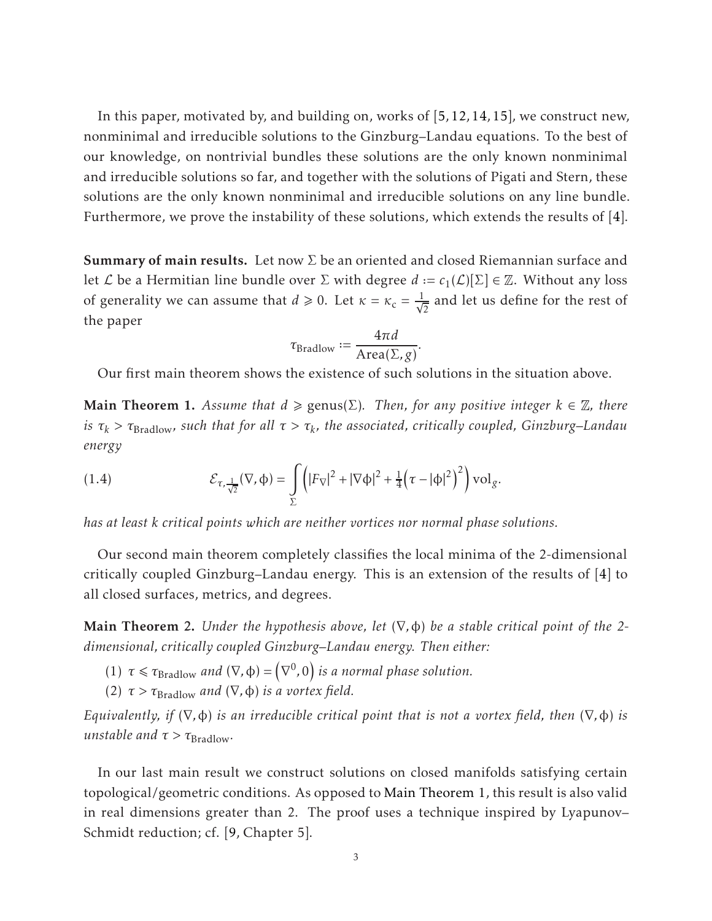In this paper, motivated by, and building on, works of [\[5,](#page-29-6) [12,](#page-29-1) [14,](#page-29-7) [15\]](#page-29-8), we construct new, nonminimal and irreducible solutions to the Ginzburg–Landau equations. To the best of our knowledge, on nontrivial bundles these solutions are the only known nonminimal and irreducible solutions so far, and together with the solutions of Pigati and Stern, these solutions are the only known nonminimal and irreducible solutions on any line bundle. Furthermore, we prove the instability of these solutions, which extends the results of [\[4\]](#page-29-9).

**Summary of main results.** Let now  $\Sigma$  be an oriented and closed Riemannian surface and let *L* be a Hermitian line bundle over *Σ* with degree  $d := c_1(\mathcal{L})[\Sigma] \in \mathbb{Z}$ . Without any loss of generality we can assume that  $d \ge 0$ . Let  $\kappa = \kappa_c = \frac{1}{\sqrt{2}}$  and let us define for the rest of the paper

$$
\tau_{\text{Bradlow}} := \frac{4\pi d}{\text{Area}(\Sigma, g)}.
$$

<span id="page-2-0"></span>Our first main theorem shows the existence of such solutions in the situation above.

**Main Theorem 1.** Assume that  $d \geq \text{genus}(\Sigma)$ . Then, for any positive integer  $k \in \mathbb{Z}$ , there *is τ<sup>k</sup> > τ*Bradlow*, such that for all τ > τ<sup>k</sup> , the associated, critically coupled, Ginzburg–Landau energy*

<span id="page-2-3"></span>(1.4) 
$$
\mathcal{E}_{\tau,\frac{1}{\sqrt{2}}}(\nabla,\varphi)=\int\limits_{\Sigma}\left(|F_{\nabla}|^2+|\nabla\varphi|^2+\frac{1}{4}\left(\tau-|\varphi|^2\right)^2\right)\mathrm{vol}_g.
$$

*has at least k critical points which are neither vortices nor normal phase solutions.*

Our second main theorem completely classifies the local minima of the 2-dimensional critically coupled Ginzburg–Landau energy. This is an extension of the results of [\[4\]](#page-29-9) to all closed surfaces, metrics, and degrees.

<span id="page-2-1"></span>Main Theorem 2. *Under the hypothesis above, let* (∇*,*φ) *be a stable critical point of the 2 dimensional, critically coupled Ginzburg–Landau energy. Then either:*

- (1)  $\tau \leq \tau_{\text{Bradlow}}$  *and*  $(\nabla, \phi) = ($  $(\nabla^0, 0)$  is a normal phase solution.
- (2) *τ > τ*Bradlow *and* (∇*,*φ) *is a vortex field.*

*Equivalently, if* (∇*,*φ) *is an irreducible critical point that is not a vortex field, then* (∇*,*φ) *is unstable and*  $\tau > \tau_{\text{Bradlow}}$ *.* 

<span id="page-2-2"></span>In our last main result we construct solutions on closed manifolds satisfying certain topological/geometric conditions. As opposed to [Main Theorem 1,](#page-2-0) this result is also valid in real dimensions greater than 2. The proof uses a technique inspired by Lyapunov– Schmidt reduction; cf. [\[9,](#page-29-10) Chapter 5].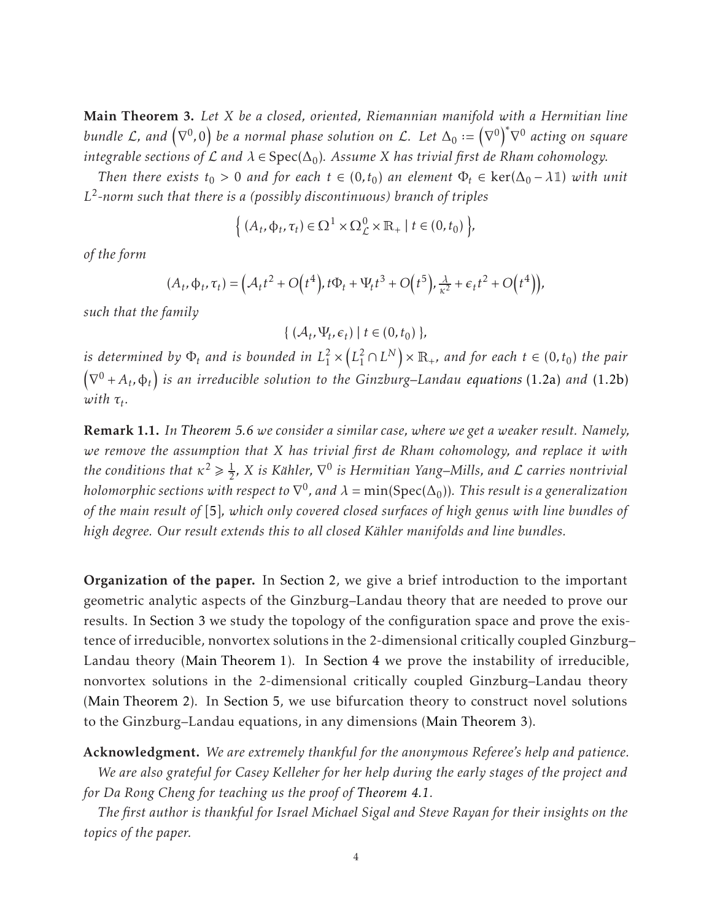Main Theorem 3. *Let X be a closed, oriented, Riemannian manifold with a Hermitian line*  $b$ undle  $\mathcal{L}$ , and  $\left(\nabla^{0},0\right)$  be a normal phase solution on  $\mathcal{L}$ . Let  $\Delta_{0}:=\left(\nabla^{0},\mathcal{L}^{0}\right)$  $\nabla^0\Big)^*$ ∇ <sup>0</sup> *acting on square*  $i$ ntegrable sections of  $\mathcal L$  and  $\lambda \in \mathrm{Spec}(\Delta_0)$ . Assume  $X$  has trivial first de Rham cohomology.

*Then there exists*  $t_0 > 0$  *and for each*  $t \in (0, t_0)$  *an element*  $\Phi_t \in \text{ker}(\Delta_0 - \lambda \mathbb{1})$  *with unit L* 2 *-norm such that there is a (possibly discontinuous) branch of triples*

$$
\Big\{\left(A_t,\varphi_t,\tau_t\right)\in\Omega^1\times\Omega^0_{\mathcal{L}}\times\mathbb{R}_+ \mid t\in(0,t_0)\Big\},\
$$

*of the form*

$$
(A_t, \Phi_t, \tau_t) = \left(\mathcal{A}_t t^2 + O\left(t^4\right), t\Phi_t + \Psi_t t^3 + O\left(t^5\right), \tfrac{\lambda}{\kappa^2} + \epsilon_t t^2 + O\left(t^4\right)\right),
$$

*such that the family*

 $\{ (\mathcal{A}_t, \Psi_t, \epsilon_t) \mid t \in (0, t_0) \},\$ 

*is determined by* Φ*<sup>t</sup> and is bounded in L* 2  $\frac{1}{1}$   $\times$  $(L_1^2 \cap L^N) \times \mathbb{R}_+$ *, and for each*  $t \in (0, t_0)$  the pair  $\overline{1}$  $\nabla^0 + A_t$ ,  $\phi_t$ ) is an irreducible solution to the Ginzburg–Landau [equations](#page-1-2) (1.2a) and [\(1.2b\)](#page-1-3)  $with \tau_t$ .

Remark 1.1. *In [Theorem 5.6](#page-23-0) we consider a similar case, where we get a weaker result. Namely, we remove the assumption that X has trivial first de Rham cohomology, and replace it with the conditions that*  $\kappa^2 \geq \frac{1}{2}$  $\frac{1}{2}$ , X is Kähler,  $\nabla^0$  is Hermitian Yang–Mills, and  ${\cal L}$  carries nontrivial holomorphic sections with respect to  $\nabla^0$ , and  $\lambda = \min(\mathrm{Spec}(\Delta_0))$ . This result is a generalization *of the main result of* [\[5\]](#page-29-6)*, which only covered closed surfaces of high genus with line bundles of high degree. Our result extends this to all closed Kahler manifolds and line bundles. ¨*

Organization of the paper. In [Section 2,](#page-4-0) we give a brief introduction to the important geometric analytic aspects of the Ginzburg–Landau theory that are needed to prove our results. In [Section 3](#page-4-1) we study the topology of the configuration space and prove the existence of irreducible, nonvortex solutions in the 2-dimensional critically coupled Ginzburg– Landau theory [\(Main Theorem 1\)](#page-2-0). In [Section 4](#page-12-0) we prove the instability of irreducible, nonvortex solutions in the 2-dimensional critically coupled Ginzburg–Landau theory [\(Main Theorem 2\)](#page-2-1). In [Section 5,](#page-16-0) we use bifurcation theory to construct novel solutions to the Ginzburg–Landau equations, in any dimensions [\(Main Theorem 3\)](#page-2-2).

Acknowledgment. *We are extremely thankful for the anonymous Referee's help and patience. We are also grateful for Casey Kelleher for her help during the early stages of the project and for Da Rong Cheng for teaching us the proof of [Theorem 4.1.](#page-15-0)*

*The first author is thankful for Israel Michael Sigal and Steve Rayan for their insights on the topics of the paper.*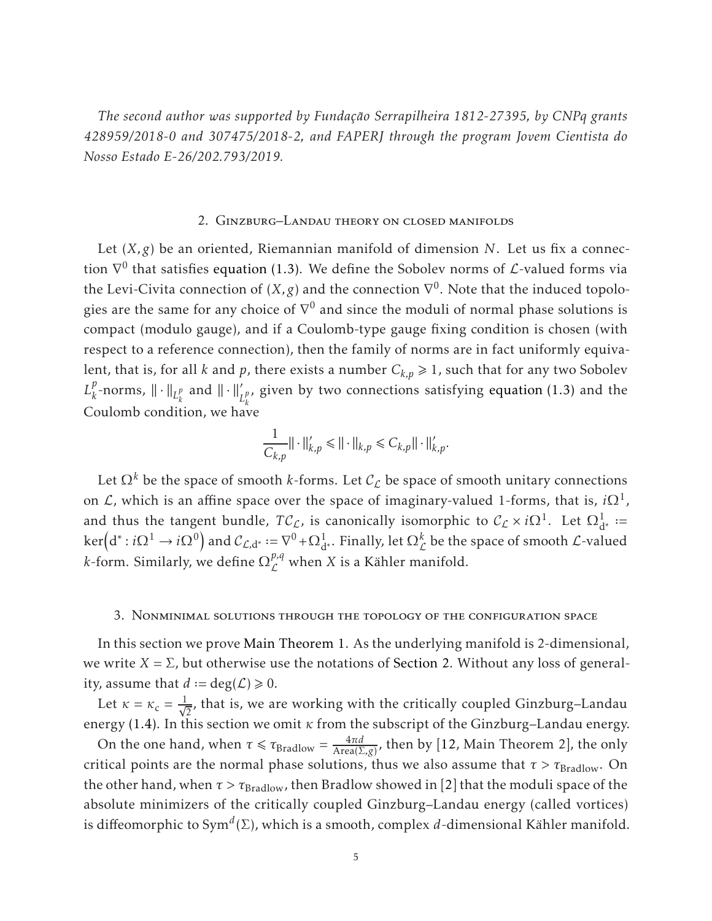*The second author was supported by Fundação Serrapilheira 1812-27395, by CNPq grants 428959/2018-0 and 307475/2018-2, and FAPERJ through the program Jovem Cientista do Nosso Estado E-26/202.793/2019.*

# 2. Ginzburg–Landau theory on closed manifolds

<span id="page-4-0"></span>Let (*X,g*) be an oriented, Riemannian manifold of dimension *N*. Let us fix a connection  $\nabla^0$  that satisfies [equation \(1.3\).](#page-1-1) We define the Sobolev norms of  $\mathcal{L}\text{-valued forms via}$ the Levi-Civita connection of  $(X,g)$  and the connection  $\nabla^0$ . Note that the induced topologies are the same for any choice of  $\nabla^0$  and since the moduli of normal phase solutions is compact (modulo gauge), and if a Coulomb-type gauge fixing condition is chosen (with respect to a reference connection), then the family of norms are in fact uniformly equivalent, that is, for all *k* and *p*, there exists a number  $C_{k,p} \ge 1$ , such that for any two Sobolev  $L_k^p$  $\frac{p}{k}$ -norms,  $\|\cdot\|_{L^p_k}$  $\frac{p}{k}$  and  $\|\cdot\|_{L^p_k}^{\prime}$ *k* , given by two connections satisfying [equation \(1.3\)](#page-1-1) and the Coulomb condition, we have

$$
\frac{1}{C_{k,p}}||\cdot||'_{k,p} \le ||\cdot||_{k,p} \le C_{k,p}||\cdot||'_{k,p}.
$$

Let  $\Omega^k$  be the space of smooth *k*-forms. Let  $\mathcal{C}_{\mathcal{L}}$  be space of smooth unitary connections on  $\mathcal{L}$ , which is an affine space over the space of imaginary-valued 1-forms, that is,  $i\Omega^1$ , and thus the tangent bundle,  $TC_L$ , is canonically isomorphic to  $C_L \times i\Omega^1$ . Let  $\Omega^1_{d^*}$  :=  $\ker(d^*: i\Omega^1\to i\Omega^0)$  and  $\mathcal{C}_{\mathcal{L},d^*}:=\nabla^0+\Omega^1_{d^*}$ . Finally, let  $\Omega^k_{\mathcal{L}}$  be the space of smooth  $\mathcal{L}$ -valued *k*-form. Similarly, we define  $\Omega_{\mathcal{L}}^{p,q}$  when *X* is a Kähler manifold.

#### <span id="page-4-1"></span>3. Nonminimal solutions through the topology of the configuration space

In this section we prove [Main Theorem 1.](#page-2-0) As the underlying manifold is 2-dimensional, we write  $X = \Sigma$ , but otherwise use the notations of [Section 2.](#page-4-0) Without any loss of generality, assume that  $d := deg(\mathcal{L}) \ge 0$ .

Let  $\kappa = \kappa_c = \frac{1}{\sqrt{2}}$ , that is, we are working with the critically coupled Ginzburg–Landau energy [\(1.4\).](#page-2-3) In this section we omit *κ* from the subscript of the Ginzburg–Landau energy.

On the one hand, when  $\tau \le \tau_{\text{Bradlow}} = \frac{4\pi d}{\text{Area}(\Sigma, g)}$ , then by [\[12,](#page-29-1) Main Theorem 2], the only critical points are the normal phase solutions, thus we also assume that  $\tau > \tau_{\text{Bradlow}}$ . On the other hand, when  $\tau > \tau_{\text{Bradlow}}$ , then Bradlow showed in [\[2\]](#page-29-3) that the moduli space of the absolute minimizers of the critically coupled Ginzburg–Landau energy (called vortices) is diffeomorphic to Sym $^d(\Sigma)$ , which is a smooth, complex  $d$ -dimensional Kähler manifold.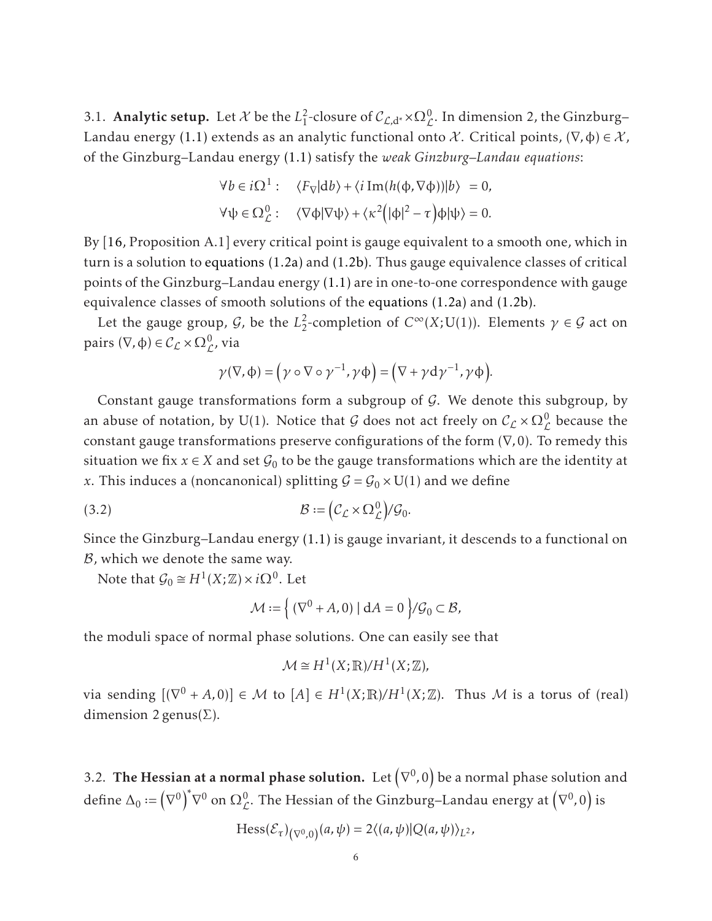<span id="page-5-0"></span>3.1. **Analytic setup.** Let  $\mathcal{X}$  be the  $L_1^2$ <sup>2</sup>-closure of  $C_{L,d^*} \times \Omega^0_{L}$ . In dimension 2, the Ginzburg– Landau energy [\(1.1\)](#page-1-0) extends as an analytic functional onto X. Critical points,  $(\nabla, \phi) \in \mathcal{X}$ , of the Ginzburg–Landau energy [\(1.1\)](#page-1-0) satisfy the *weak Ginzburg–Landau equations*:

$$
\forall b \in i\Omega^1: \quad \langle F_{\nabla} | db \rangle + \langle i \operatorname{Im} (h(\varphi, \nabla \varphi)) | b \rangle = 0,
$$
  

$$
\forall \psi \in \Omega^0_{\mathcal{L}}: \quad \langle \nabla \varphi | \nabla \psi \rangle + \langle \kappa^2 (|\varphi|^2 - \tau) \varphi | \psi \rangle = 0.
$$

By [\[16,](#page-29-2) Proposition A.1] every critical point is gauge equivalent to a smooth one, which in turn is a solution to [equations \(1.2a\)](#page-1-2) and [\(1.2b\).](#page-1-3) Thus gauge equivalence classes of critical points of the Ginzburg–Landau energy [\(1.1\)](#page-1-0) are in one-to-one correspondence with gauge equivalence classes of smooth solutions of the [equations \(1.2a\)](#page-1-2) and [\(1.2b\).](#page-1-3)

Let the gauge group,  $\mathcal{G}$ , be the  $L_2^2$  $\frac{2}{2}$ -completion of *C*<sup>∞</sup>(*X*;U(1)). Elements *γ* ∈ *G* act on pairs (∇, φ) ∈  $\mathcal{C}_{\mathcal{L}} \times \Omega_{\mathcal{L}}^0$ , via

$$
\gamma(\nabla,\varphi)=\left(\gamma\circ\nabla\circ\gamma^{-1},\gamma\varphi\right)=\left(\nabla+\gamma\mathrm{d}\gamma^{-1},\gamma\varphi\right).
$$

Constant gauge transformations form a subgroup of  $G$ . We denote this subgroup, by an abuse of notation, by U(1). Notice that  $G$  does not act freely on  $C_{\mathcal{L}} \times \Omega_{\mathcal{L}}^0$  because the constant gauge transformations preserve configurations of the form (∇*,*0). To remedy this situation we fix  $x \in X$  and set  $\mathcal{G}_0$  to be the gauge transformations which are the identity at *x*. This induces a (noncanonical) splitting  $G = G_0 \times U(1)$  and we define

(3.2) 
$$
\mathcal{B} := \left( \mathcal{C}_{\mathcal{L}} \times \Omega_{\mathcal{L}}^0 \right) / \mathcal{G}_0.
$$

Since the Ginzburg–Landau energy [\(1.1\)](#page-1-0) is gauge invariant, it descends to a functional on  $B$ , which we denote the same way.

Note that  $\mathcal{G}_0 \cong H^1(X;\mathbb{Z}) \times i\Omega^0$ . Let

<span id="page-5-1"></span>
$$
\mathcal{M} := \left\{ \left( \nabla^0 + A, 0 \right) \mid \mathrm{d}A = 0 \right\} / \mathcal{G}_0 \subset \mathcal{B},
$$

the moduli space of normal phase solutions. One can easily see that

$$
\mathcal{M} \cong H^1(X;\mathbb{R})/H^1(X;\mathbb{Z}),
$$

via sending  $[(\nabla^0 + A, 0)] \in \mathcal{M}$  to  $[A] \in H^1(X; \mathbb{R})/H^1(X; \mathbb{Z})$ . Thus  $\mathcal M$  is a torus of (real) dimension 2 genus( $\Sigma$ ).

3.2. The Hessian at a normal phase solution. Let  $\left(\nabla^{0},0\right)$  be a normal phase solution and define  $\Delta_0 := ($  $\nabla^0$ <sup>\*</sup>  $\nabla^0$  on  $\Omega^0_{\mathcal L}.$  The Hessian of the Ginzburg–Landau energy at  $\left(\nabla^0,0\right)$  is

$$
\text{Hess}(\mathcal{E}_{\tau})(\nabla_{0,0})(a,\psi) = 2\langle (a,\psi)|Q(a,\psi)\rangle_{L^2},
$$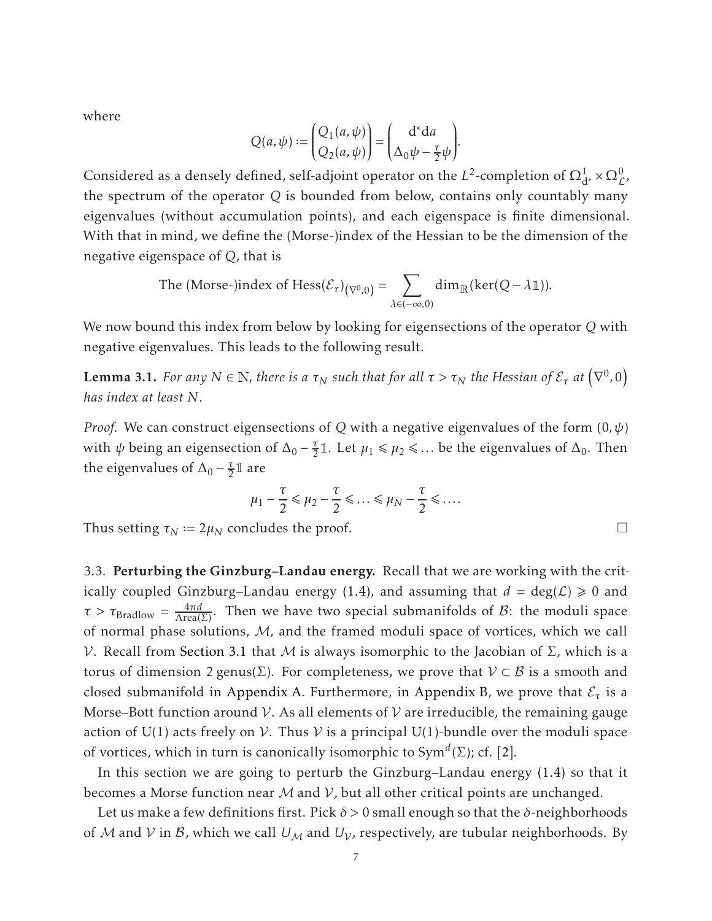where

$$
Q(a,\psi):=\begin{pmatrix}Q_1(a,\psi)\\ Q_2(a,\psi)\end{pmatrix}=\begin{pmatrix}{\rm d}^*{\rm d} a\\ \Delta_0\psi-\frac{\tau}{2}\psi\end{pmatrix}\!.
$$

Considered as a densely defined, self-adjoint operator on the *L*<sup>2</sup>-completion of  $\Omega^1_{d^*} \times \Omega^0_{\mathcal{L}}$ , the spectrum of the operator *Q* is bounded from below, contains only countably many eigenvalues (without accumulation points), and each eigenspace is finite dimensional. With that in mind, we define the (Morse-)index of the Hessian to be the dimension of the negative eigenspace of *Q*, that is

The (Morse-)index of Hess
$$
(\mathcal{E}_{\tau})_{(\nabla^0,0)} = \sum_{\lambda \in (-\infty,0)} \dim_{\mathbb{R}}(\ker(Q - \lambda \mathbb{1})).
$$

<span id="page-6-0"></span>We now bound this index from below by looking for eigensections of the operator *Q* with negative eigenvalues. This leads to the following result.

**Lemma 3.1.** *For any*  $N \in \mathbb{N}$ *, there is a*  $\tau_N$  *such that for all*  $\tau > \tau_N$  *the Hessian of*  $\mathcal{E}_{\tau}$  *at*  $(\nabla^0, 0)$ *has index at least N.*

*Proof.* We can construct eigensections of *Q* with a negative eigenvalues of the form (0*,ψ*) with  $\psi$  being an eigensection of  $\Delta_0 - \frac{\tau}{2}$  $\frac{\tau}{2}$ 1. Let  $\mu_1 \le \mu_2 \le \dots$  be the eigenvalues of  $\Delta_0$ . Then the eigenvalues of  $\Delta_0 - \frac{\tau}{2}$  $rac{\tau}{2}$ l are

$$
\mu_1 - \frac{\tau}{2} \leq \mu_2 - \frac{\tau}{2} \leq \dots \leq \mu_N - \frac{\tau}{2} \leq \dots
$$

Thus setting  $\tau_N := 2\mu_N$  concludes the proof.  $\Box$ 

3.3. Perturbing the Ginzburg–Landau energy. Recall that we are working with the crit-ically coupled Ginzburg–Landau energy [\(1.4\),](#page-2-3) and assuming that  $d = \deg(\mathcal{L}) \ge 0$  and *τ* >  $\tau_{\text{Bradlow}} = \frac{4\pi d}{\text{Area}(\Sigma)}$ . Then we have two special submanifolds of *B*: the moduli space of normal phase solutions, M, and the framed moduli space of vortices, which we call V. Recall from [Section 3.1](#page-5-0) that *M* is always isomorphic to the Jacobian of Σ, which is a torus of dimension 2 genus( $\Sigma$ ). For completeness, we prove that  $V \subset B$  is a smooth and closed submanifold in [Appendix A.](#page-25-0) Furthermore, in [Appendix B,](#page-26-0) we prove that  $\mathcal{E}_{\tau}$  is a Morse–Bott function around V. As all elements of V are irreducible, the remaining gauge action of U(1) acts freely on  $V$ . Thus  $V$  is a principal U(1)-bundle over the moduli space of vortices, which in turn is canonically isomorphic to Sym*<sup>d</sup>* (Σ); cf. [\[2\]](#page-29-3).

In this section we are going to perturb the Ginzburg–Landau energy [\(1.4\)](#page-2-3) so that it becomes a Morse function near  $M$  and  $V$ , but all other critical points are unchanged.

Let us make a few definitions first. Pick *δ >* 0 small enough so that the *δ*-neighborhoods of M and V in B, which we call  $U_M$  and  $U_V$ , respectively, are tubular neighborhoods. By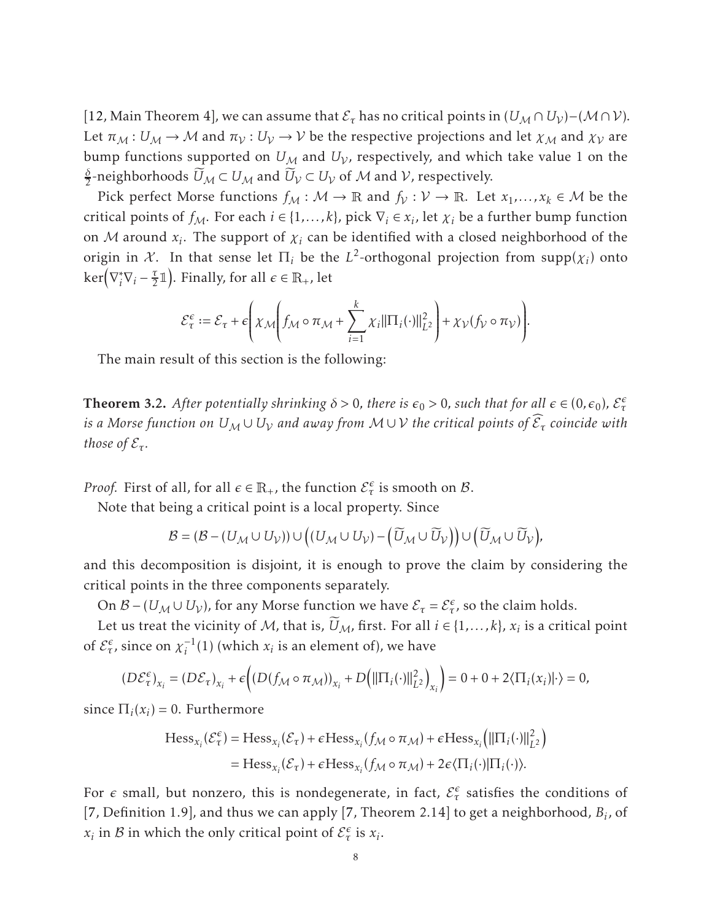[\[12,](#page-29-1) Main Theorem 4], we can assume that  $\mathcal{E}_{\tau}$  has no critical points in  $(U_{\mathcal{M}} \cap U_{\mathcal{V}})$  –  $(\mathcal{M} \cap \mathcal{V})$ . Let  $\pi_M : U_M \to M$  and  $\pi_V : U_V \to V$  be the respective projections and let  $\chi_M$  and  $\chi_V$  are bump functions supported on  $U_M$  and  $U_V$ , respectively, and which take value 1 on the *δ*  $\frac{\partial}{\partial z}$ -neighborhoods  $U_{\mathcal{M}} \subset U_{\mathcal{M}}$  and  $U_{\mathcal{V}} \subset U_{\mathcal{V}}$  of  $\mathcal M$  and  $\mathcal V$ , respectively.

Pick perfect Morse functions  $f_M : \mathcal{M} \to \mathbb{R}$  and  $f_V : \mathcal{V} \to \mathbb{R}$ . Let  $x_1, \dots, x_k \in \mathcal{M}$  be the critical points of  $f_{\mathcal{M}}$ . For each  $i \in \{1, ..., k\}$ , pick  $\nabla_i \in x_i$ , let  $\chi_i$  be a further bump function on  $M$  around  $x_i$ . The support of  $\chi_i$  can be identified with a closed neighborhood of the origin in  $X$ . In that sense let  $\Pi_i$  be the  $L^2$ -orthogonal projection from supp $(\chi_i)$  onto  $\ker(\nabla_i^* \nabla_i - \frac{\tau}{2})$  $(\frac{\tau}{2}1)$ . Finally, for all  $\epsilon \in \mathbb{R}_+$ , let

$$
\mathcal{E}_{\tau}^{\epsilon} := \mathcal{E}_{\tau} + \epsilon \left( \chi_{\mathcal{M}} \left( f_{\mathcal{M}} \circ \pi_{\mathcal{M}} + \sum_{i=1}^{k} \chi_{i} ||\Pi_{i}(\cdot)||_{L^{2}}^{2} \right) + \chi_{\mathcal{V}}(f_{\mathcal{V}} \circ \pi_{\mathcal{V}}) \right).
$$

<span id="page-7-0"></span>The main result of this section is the following:

**Theorem 3.2.** After potentially shrinking  $\delta > 0$ , there is  $\epsilon_0 > 0$ , such that for all  $\epsilon \in (0, \epsilon_0)$ ,  $\mathcal{E}^{\epsilon}_{\tau}$  $i$ s a Morse function on  $U_{\mathcal{M}}\cup U_{\mathcal{V}}$  and away from  $\mathcal{M}\cup\mathcal{V}$  the critical points of  $\mathcal{E}_{\tau}$  coincide with *those of*  $\mathcal{E}_{\tau}$ *.* 

*Proof.* First of all, for all  $\epsilon \in \mathbb{R}_+$ , the function  $\mathcal{E}^{\epsilon}_{\tau}$  is smooth on  $\mathcal{B}$ .

Note that being a critical point is a local property. Since

$$
\mathcal{B}=(\mathcal{B}-(U_{\mathcal{M}}\cup U_{\mathcal{V}}))\cup \left((U_{\mathcal{M}}\cup U_{\mathcal{V}})-\left(\widetilde{U}_{\mathcal{M}}\cup \widetilde{U}_{\mathcal{V}}\right)\right)\cup \left(\widetilde{U}_{\mathcal{M}}\cup \widetilde{U}_{\mathcal{V}}\right)\!,
$$

and this decomposition is disjoint, it is enough to prove the claim by considering the critical points in the three components separately.

On  $\mathcal{B}$  – ( $U_M \cup U_V$ ), for any Morse function we have  $\mathcal{E}_{\tau} = \mathcal{E}_{\tau}^{\epsilon}$ , so the claim holds.

Let us treat the vicinity of M, that is,  $U_M$ , first. For all  $i \in \{1, ..., k\}$ ,  $x_i$  is a critical point of  $\mathcal{E}_{\tau}^{\epsilon}$ , since on  $\chi_i^{-1}(1)$  (which  $x_i$  is an element of), we have

$$
(D\mathcal{E}_{\tau}^{\epsilon})_{x_i} = (D\mathcal{E}_{\tau})_{x_i} + \epsilon \Big( (D(f_{\mathcal{M}} \circ \pi_{\mathcal{M}}))_{x_i} + D\Big(||\Pi_i(\cdot)||_{L^2}^2\Big)_{x_i}\Big) = 0 + 0 + 2\langle \Pi_i(x_i)|\cdot \rangle = 0,
$$

since  $\Pi_i(x_i) = 0$ . Furthermore

$$
\begin{aligned} \operatorname{Hess}_{x_i}(\mathcal{E}_{\tau}^{\epsilon}) &= \operatorname{Hess}_{x_i}(\mathcal{E}_{\tau}) + \epsilon \operatorname{Hess}_{x_i}(f_{\mathcal{M}} \circ \pi_{\mathcal{M}}) + \epsilon \operatorname{Hess}_{x_i} \left( \|\Pi_i(\cdot)\|_{L^2}^2 \right) \\ &= \operatorname{Hess}_{x_i}(\mathcal{E}_{\tau}) + \epsilon \operatorname{Hess}_{x_i}(f_{\mathcal{M}} \circ \pi_{\mathcal{M}}) + 2\epsilon \langle \Pi_i(\cdot)|\Pi_i(\cdot) \rangle. \end{aligned}
$$

For  $\epsilon$  small, but nonzero, this is nondegenerate, in fact,  $\mathcal{E}^{\epsilon}_{\tau}$  satisfies the conditions of [\[7,](#page-29-11) Definition 1.9], and thus we can apply [\[7,](#page-29-11) Theorem 2.14] to get a neighborhood, *B<sup>i</sup>* , of *x*<sub>*i*</sub> in *B* in which the only critical point of  $\mathcal{E}^{\epsilon}_{\tau}$  is *x*<sub>*i*</sub>.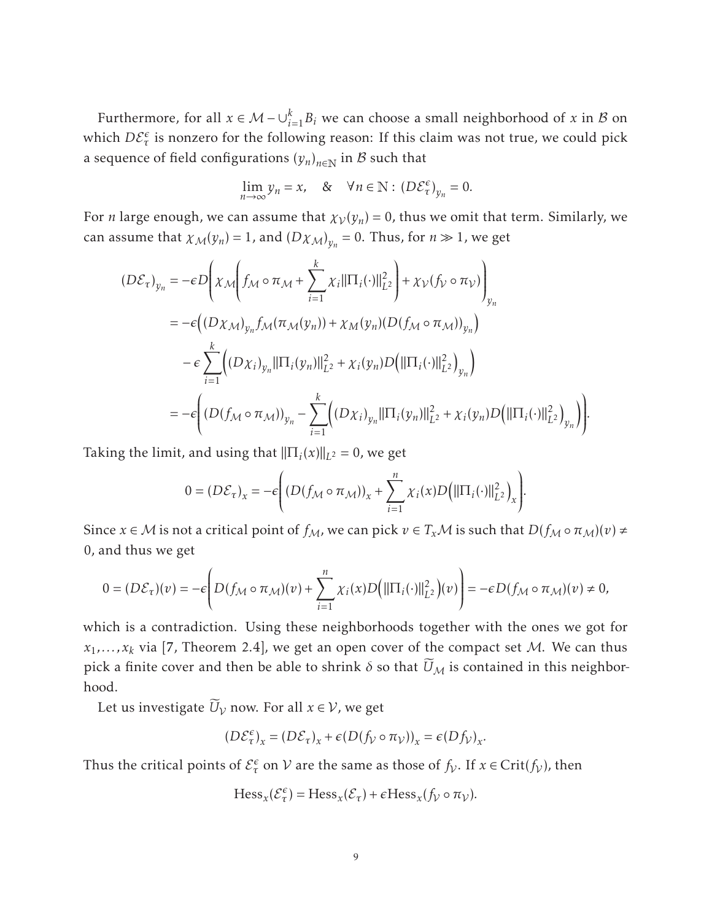Furthermore, for all  $x \in \mathcal{M} - \bigcup_{i=1}^{k} B_i$  we can choose a small neighborhood of  $x$  in  $\mathcal{B}$  on which  $D\mathcal{E}_{\tau}^{\epsilon}$  is nonzero for the following reason: If this claim was not true, we could pick a sequence of field configurations  $(y_n)_{n\in\mathbb{N}}$  in  $\mathcal B$  such that

$$
\lim_{n \to \infty} y_n = x, \quad \& \quad \forall n \in \mathbb{N} : (D\mathcal{E}_\tau^\epsilon)_{y_n} = 0.
$$

For *n* large enough, we can assume that  $\chi_V(y_n) = 0$ , thus we omit that term. Similarly, we can assume that  $\chi_{\mathcal{M}}(y_n) = 1$ , and  $(D\chi_{\mathcal{M}})_{y_n} = 0$ . Thus, for  $n \gg 1$ , we get

$$
(D\mathcal{E}_{\tau})_{y_n} = -\epsilon D \Biggl( \chi_{\mathcal{M}} \Biggl( f_{\mathcal{M}} \circ \pi_{\mathcal{M}} + \sum_{i=1}^{k} \chi_{i} ||\Pi_{i}(\cdot)||_{L^{2}}^{2} \Biggr) + \chi_{\mathcal{V}}(f_{\mathcal{V}} \circ \pi_{\mathcal{V}}) \Biggr)_{y_n} = -\epsilon \Biggl( (D\chi_{\mathcal{M}})_{y_n} f_{\mathcal{M}}(\pi_{\mathcal{M}}(y_n)) + \chi_{\mathcal{M}}(y_n) (D(f_{\mathcal{M}} \circ \pi_{\mathcal{M}}))_{y_n} \Biggr) - \epsilon \sum_{i=1}^{k} \Biggl( (D\chi_{i})_{y_n} ||\Pi_{i}(y_n)||_{L^{2}}^{2} + \chi_{i}(y_n) D \Biggl( ||\Pi_{i}(\cdot)||_{L^{2}}^{2} \Biggr)_{y_n} \Biggr) = -\epsilon \Biggl( (D(f_{\mathcal{M}} \circ \pi_{\mathcal{M}}))_{y_n} - \sum_{i=1}^{k} \Biggl( (D\chi_{i})_{y_n} ||\Pi_{i}(y_n)||_{L^{2}}^{2} + \chi_{i}(y_n) D \Biggl( ||\Pi_{i}(\cdot)||_{L^{2}}^{2} \Biggr)_{y_n} \Biggr) \Biggr).
$$

Taking the limit, and using that  $\|\Pi_i(x)\|_{L^2} = 0$ , we get

$$
0 = (D\mathcal{E}_{\tau})_x = -\epsilon \Bigg( (D(f_{\mathcal{M}} \circ \pi_{\mathcal{M}}))_x + \sum_{i=1}^n \chi_i(x) D\bigg( \|\Pi_i(\cdot)\|_{L^2}^2 \bigg)_x \Bigg).
$$

Since  $x \in M$  is not a critical point of  $f_M$ , we can pick  $v \in T_xM$  is such that  $D(f_M \circ \pi_M)(v) \neq$ 0, and thus we get

$$
0 = (D\mathcal{E}_{\tau})(v) = -\epsilon \left( D(f_{\mathcal{M}} \circ \pi_{\mathcal{M}})(v) + \sum_{i=1}^{n} \chi_i(x) D\left( ||\Pi_i(\cdot)||_{L^2}^2\right)(v) \right) = -\epsilon D(f_{\mathcal{M}} \circ \pi_{\mathcal{M}})(v) \neq 0,
$$

which is a contradiction. Using these neighborhoods together with the ones we got for  $x_1, \ldots, x_k$  via [\[7,](#page-29-11) Theorem 2.4], we get an open cover of the compact set M. We can thus pick a finite cover and then be able to shrink  $\delta$  so that  $\widetilde{U}_M$  is contained in this neighborhood.

Let us investigate  $\widetilde{U}_v$  now. For all  $x \in V$ , we get

$$
(D\mathcal{E}_{\tau}^{\epsilon})_x = (D\mathcal{E}_{\tau})_x + \epsilon (D(f_{\mathcal{V}} \circ \pi_{\mathcal{V}}))_x = \epsilon (Df_{\mathcal{V}})_x.
$$

Thus the critical points of  $\mathcal{E}^{\epsilon}_{\tau}$  on  $\mathcal V$  are the same as those of  $f_{\mathcal V}$ . If  $x \in \text{Crit}(f_{\mathcal V})$ , then

$$
\text{Hess}_x(\mathcal{E}^{\epsilon}_\tau) = \text{Hess}_x(\mathcal{E}_\tau) + \epsilon \text{Hess}_x(f_\mathcal{V} \circ \pi_\mathcal{V}).
$$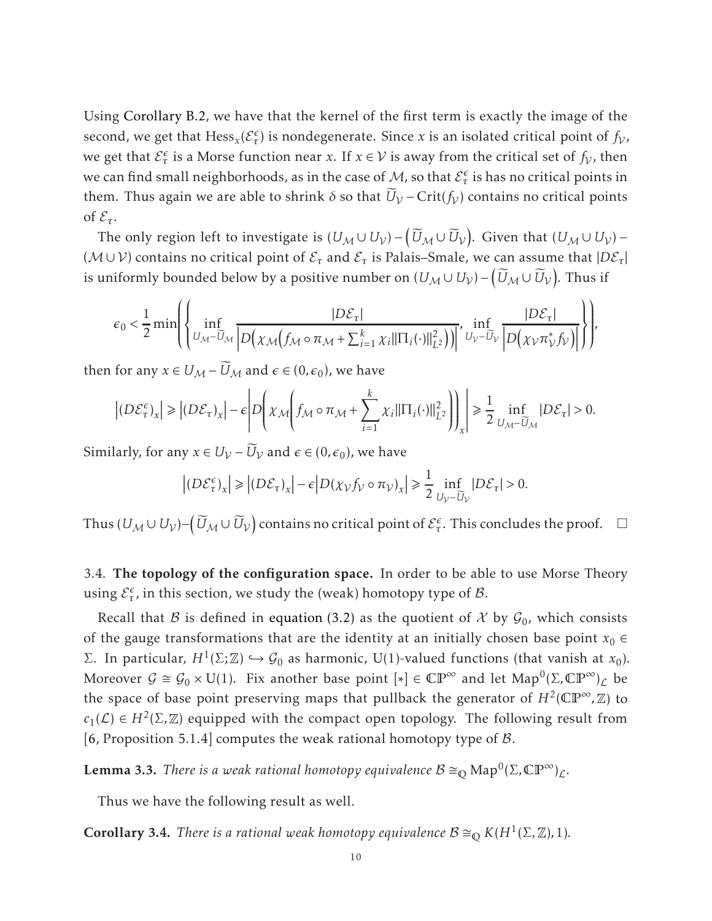Using [Corollary B.2,](#page-28-0) we have that the kernel of the first term is exactly the image of the second, we get that  $Hess_x(\mathcal{E}^{\epsilon}_{\tau})$  is nondegenerate. Since *x* is an isolated critical point of  $f_V$ , we get that  $\mathcal{E}^{\epsilon}_{\tau}$  is a Morse function near *x*. If  $x \in \mathcal{V}$  is away from the critical set of  $f_{\mathcal{V}}$ , then we can find small neighborhoods, as in the case of M, so that  $\mathcal{E}^{\epsilon}_{\tau}$  is has no critical points in them. Thus again we are able to shrink  $\delta$  so that  $\widetilde{U}_V$  – Crit( $f_V$ ) contains no critical points of  $\mathcal{E}_{\tau}$ .

The only region left to investigate is  $(U_{\mathcal{M}}\cup U_{\mathcal{V}})-\left(\widetilde{U}_{\mathcal{M}}\cup \widetilde{U}_{\mathcal{V}}\right)$ . Given that  $(U_{\mathcal{M}}\cup U_{\mathcal{V}})-1$  $(\mathcal{M} \cup \mathcal{V})$  contains no critical point of  $\mathcal{E}_{\tau}$  and  $\mathcal{E}_{\tau}$  is Palais–Smale, we can assume that  $|D\mathcal{E}_{\tau}|$ is uniformly bounded below by a positive number on  $(U_{\mathcal{M}}\cup U_{\mathcal{V}})-\big(\widetilde{U}_{\mathcal{M}}\cup \widetilde{U}_{\mathcal{V}}\big).$  Thus if

$$
\epsilon_0 < \frac{1}{2} \min \left( \left\{ \inf_{U_{\mathcal{M}} - \widetilde{U}_{\mathcal{M}}} \frac{|D \mathcal{E}_{\tau}|}{\left| D \left( \chi_{\mathcal{M}} \left( f_{\mathcal{M}} \circ \pi_{\mathcal{M}} + \sum_{i=1}^k \chi_i ||\Pi_i(\cdot)||_{L^2}^2 \right) \right) \right|}, \inf_{U_{\mathcal{V}} - \widetilde{U}_{\mathcal{V}}} \frac{|D \mathcal{E}_{\tau}|}{\left| D \left( \chi_{\mathcal{V}} \pi_{\mathcal{V}}^* f_{\mathcal{V}} \right) \right|} \right) \right)
$$

then for any  $x \in U_{\mathcal{M}} - U_{\mathcal{M}}$  and  $\epsilon \in (0, \epsilon_0)$ , we have

$$
\left| (D\mathcal{E}^{\epsilon}_\tau)_x \right| \geq \left| (D\mathcal{E}_\tau)_x \right| - \epsilon \left| D \left( \chi_{\mathcal{M}} \left( f_{\mathcal{M}} \circ \pi_{\mathcal{M}} + \sum_{i=1}^k \chi_i ||\Pi_i(\cdot)||_{L^2}^2 \right) \right) \right|_x \geq \frac{1}{2} \inf_{U_{\mathcal{M}} - \widetilde{U}_{\mathcal{M}}} |D\mathcal{E}_\tau| > 0.
$$

Similarly, for any  $x \in U_V - U_V$  and  $\epsilon \in (0, \epsilon_0)$ , we have

$$
\left| (D\mathcal{E}_{\tau}^{\epsilon})_{x} \right| \geq \left| (D\mathcal{E}_{\tau})_{x} \right| - \epsilon \left| D(\chi_{\mathcal{V}}f_{\mathcal{V}} \circ \pi_{\mathcal{V}})_{x} \right| \geq \frac{1}{2} \inf_{U_{\mathcal{V}} - \widetilde{U}_{\mathcal{V}}} |D\mathcal{E}_{\tau}| > 0.
$$

Thus  $(U_{\mathcal{M}}\cup U_{\mathcal{V}})-\left(\widetilde{U}_{\mathcal{M}}\cup\widetilde{U}_{\mathcal{V}}\right)$  contains no critical point of  $\mathcal{E}^\epsilon_\tau.$  This concludes the proof.  $\;\;\Box$ 

3.4. The topology of the configuration space. In order to be able to use Morse Theory using  $\mathcal{E}_{\tau}^{\epsilon}$ , in this section, we study the (weak) homotopy type of  $\mathcal{B}$ .

Recall that  $\beta$  is defined in [equation \(3.2\)](#page-5-1) as the quotient of  $\mathcal X$  by  $\mathcal G_0$ , which consists of the gauge transformations that are the identity at an initially chosen base point  $x_0 \in$ Σ. In particular,  $H^1(Σ; ℤ)$  →  $\mathcal{G}_0$  as harmonic, U(1)-valued functions (that vanish at *x*<sub>0</sub>). Moreover  $G \cong G_0 \times U(1)$ . Fix another base point  $[*] \in \mathbb{CP}^{\infty}$  and let  $\text{Map}^0(\Sigma, \mathbb{CP}^{\infty})_{\mathcal{L}}$  be the space of base point preserving maps that pullback the generator of  $H^2(\mathbb{CP}^\infty,\mathbb{Z})$  to  $c_1(\mathcal{L}) \in H^2(\Sigma, \mathbb{Z})$  equipped with the compact open topology. The following result from [\[6,](#page-29-12) Proposition 5.1.4] computes the weak rational homotopy type of  $\beta$ .

**Lemma 3.3.** *There is a weak rational homotopy equivalence*  $B \cong_{\mathbb{Q}} Map^0(\Sigma, \mathbb{CP}^\infty)_\mathcal{L}$ *.* 

<span id="page-9-0"></span>Thus we have the following result as well.

**Corollary 3.4.** *There is a rational weak homotopy equivalence*  $B \cong_{\mathbb{Q}} K(H^1(\Sigma, \mathbb{Z}), 1)$ *.*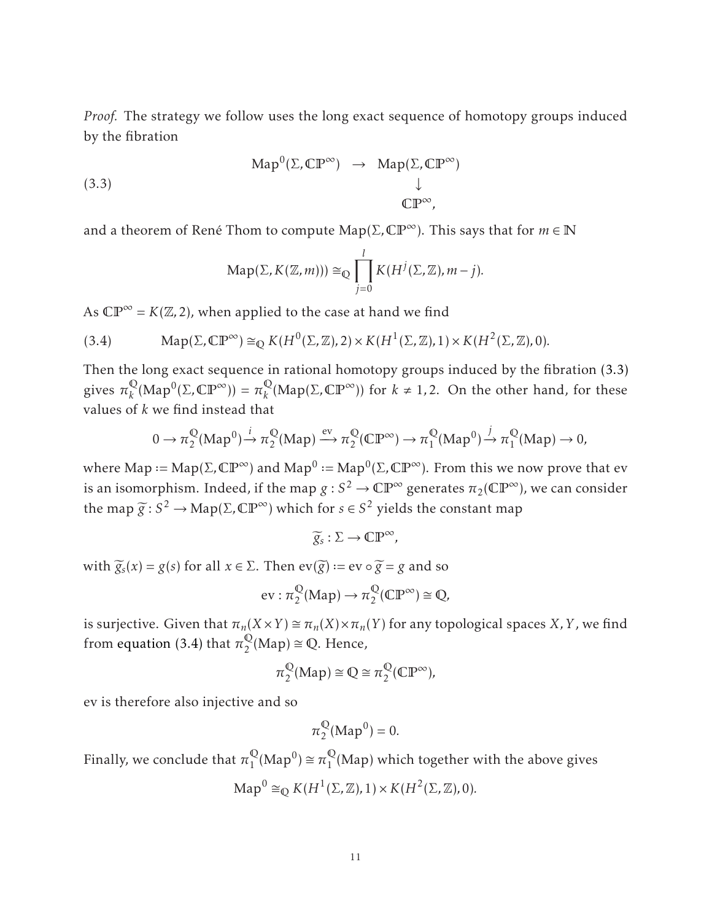*Proof.* The strategy we follow uses the long exact sequence of homotopy groups induced by the fibration

(3.3) 
$$
\text{Map}^{0}(\Sigma, \mathbb{CP}^{\infty}) \rightarrow \text{Map}(\Sigma, \mathbb{CP}^{\infty})
$$

$$
\downarrow
$$

$$
\mathbb{CP}^{\infty},
$$

and a theorem of René Thom to compute  $\text{Map}(\Sigma, \mathbb{CP}^{\infty})$ . This says that for  $m \in \mathbb{N}$ 

<span id="page-10-0"></span>
$$
\mathrm{Map}(\Sigma, K(\mathbb{Z}, m))) \cong_{\mathbb{Q}} \prod_{j=0}^{l} K(H^{j}(\Sigma, \mathbb{Z}), m-j).
$$

As  $\mathbb{CP}^{\infty} = K(\mathbb{Z}, 2)$ , when applied to the case at hand we find

<span id="page-10-1"></span>(3.4) Map(
$$
\Sigma
$$
,  $\mathbb{CP}^{\infty}$ )  $\cong_{\mathbb{Q}} K(H^{0}(\Sigma, \mathbb{Z}), 2) \times K(H^{1}(\Sigma, \mathbb{Z}), 1) \times K(H^{2}(\Sigma, \mathbb{Z}), 0).$ 

Then the long exact sequence in rational homotopy groups induced by the fibration [\(3.3\)](#page-10-0) gives  $\pi_k^{\mathbb{Q}}$  $R_k^{\mathbb{Q}}(\text{Map}^0(\Sigma, \mathbb{CP}^\infty)) = \pi_k^{\mathbb{Q}}$  $_{k}^{\mathbb{Q}}(\text{Map}(\Sigma,\mathbb{CP}^{\infty}))$  for  $k \neq 1,2$ . On the other hand, for these values of *k* we find instead that

$$
0 \to \pi_2^{\mathbb{Q}}(\text{Map}^0) \xrightarrow{i} \pi_2^{\mathbb{Q}}(\text{Map}) \xrightarrow{\text{ev}} \pi_2^{\mathbb{Q}}(\mathbb{CP}^{\infty}) \to \pi_1^{\mathbb{Q}}(\text{Map}^0) \xrightarrow{j} \pi_1^{\mathbb{Q}}(\text{Map}) \to 0,
$$

where Map := Map( $\Sigma$ ,  $\mathbb{CP}^{\infty}$ ) and Map<sup>0</sup> := Map<sup>0</sup>( $\Sigma$ ,  $\mathbb{CP}^{\infty}$ ). From this we now prove that ev is an isomorphism. Indeed, if the map  $g : S^2 \to \mathbb{CP}^\infty$  generates  $\pi_2(\mathbb{CP}^\infty)$ , we can consider the map  $\widetilde{g}: S^2 \to \text{Map}(\Sigma, \mathbb{CP}^\infty)$  which for  $s \in S^2$  yields the constant map

$$
\widetilde{g}_s : \Sigma \to \mathbb{CP}^\infty,
$$

with  $\widetilde{g}_s(x) = g(s)$  for all  $x \in \Sigma$ . Then  $ev(\widetilde{g}) := ev \circ \widetilde{g} = g$  and so

$$
ev: \pi_2^{\mathbb{Q}}(\text{Map}) \to \pi_2^{\mathbb{Q}}(\mathbb{CP}^{\infty}) \cong \mathbb{Q},
$$

is surjective. Given that  $\pi_n(X \times Y) \cong \pi_n(X) \times \pi_n(Y)$  for any topological spaces *X*, *Y*, we find from [equation \(3.4\)](#page-10-1) that  $\pi_2^{\mathbb{Q}}$  $_2^{\mathbb{Q}}$ (Map)  $\cong$  Q. Hence,

$$
\pi_2^{\mathbb{Q}}(\text{Map}) \cong \mathbb{Q} \cong \pi_2^{\mathbb{Q}}(\mathbb{C}\mathbb{P}^{\infty}),
$$

ev is therefore also injective and so

$$
\pi_2^{\mathbb{Q}}(\text{Map}^0)=0.
$$

Finally, we conclude that  $\pi_1^\mathbb{Q}$  $_{1}^{\mathbb{Q}}(\text{Map}^0) \cong \pi_1^{\mathbb{Q}}$  $\frac{1}{1}$ (Map) which together with the above gives

$$
\text{Map}^0 \cong_{\mathbb{Q}} K(H^1(\Sigma, \mathbb{Z}), 1) \times K(H^2(\Sigma, \mathbb{Z}), 0).
$$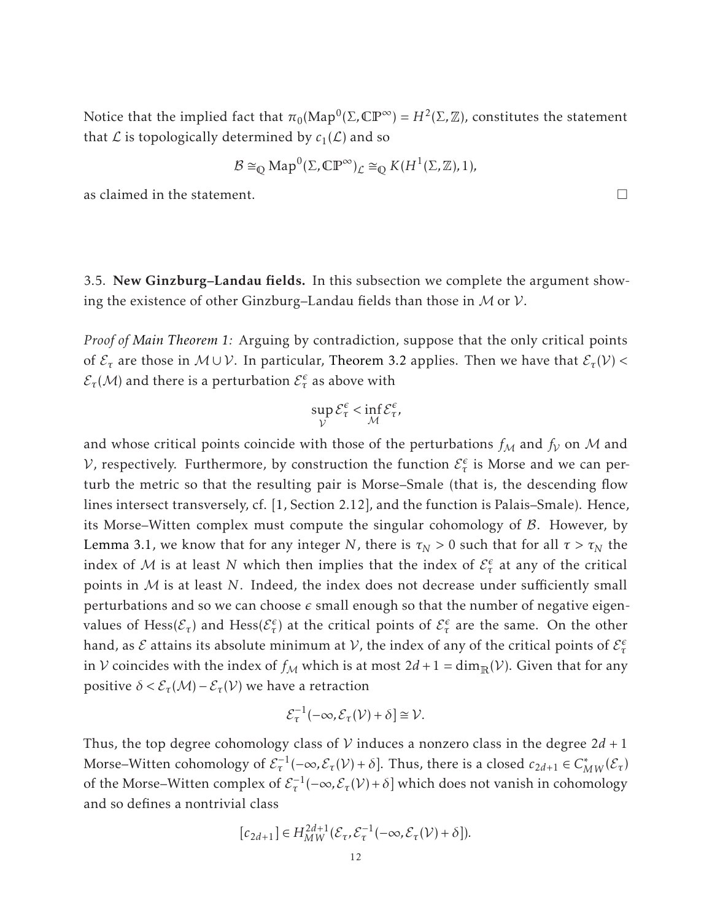Notice that the implied fact that  $\pi_0(\mathrm{Map}^0(\Sigma, \mathbb{CP}^{\infty}) = H^2(\Sigma, \mathbb{Z})$ , constitutes the statement that  $\mathcal L$  is topologically determined by  $c_1(\mathcal L)$  and so

$$
\mathcal{B} \cong_{\mathbb{Q}} \mathrm{Map}^0(\Sigma, \mathbb{CP}^{\infty})_{\mathcal{L}} \cong_{\mathbb{Q}} K(H^1(\Sigma, \mathbb{Z}), 1),
$$

as claimed in the statement.

3.5. New Ginzburg–Landau fields. In this subsection we complete the argument showing the existence of other Ginzburg–Landau fields than those in  $M$  or  $V$ .

*Proof of [Main Theorem 1:](#page-2-0)* Arguing by contradiction, suppose that the only critical points of  $\mathcal{E}_{\tau}$  are those in  $M \cup \mathcal{V}$ . In particular, [Theorem 3.2](#page-7-0) applies. Then we have that  $\mathcal{E}_{\tau}(\mathcal{V})$  <  $\mathcal{E}_{\tau}(\mathcal{M})$  and there is a perturbation  $\mathcal{E}_{\tau}^{\epsilon}$  as above with

$$
\sup_{\mathcal{V}} \mathcal{E}_{\tau}^{\epsilon} < \inf_{\mathcal{M}} \mathcal{E}_{\tau}^{\epsilon},
$$

and whose critical points coincide with those of the perturbations  $f_M$  and  $f_V$  on M and V, respectively. Furthermore, by construction the function  $\mathcal{E}_{\tau}^{\epsilon}$  is Morse and we can perturb the metric so that the resulting pair is Morse–Smale (that is, the descending flow lines intersect transversely, cf. [\[1,](#page-29-13) Section 2.12], and the function is Palais–Smale). Hence, its Morse–Witten complex must compute the singular cohomology of B. However, by [Lemma 3.1,](#page-6-0) we know that for any integer *N*, there is  $\tau_N > 0$  such that for all  $\tau > \tau_N$  the index of M is at least N which then implies that the index of  $\mathcal{E}^{\epsilon}_{\tau}$  at any of the critical points in <sup>M</sup> is at least *<sup>N</sup>*. Indeed, the index does not decrease under sufficiently small perturbations and so we can choose  $\epsilon$  small enough so that the number of negative eigenvalues of  $Hess(\mathcal{E}_{\tau})$  and  $Hess(\mathcal{E}_{\tau}^{\epsilon})$  at the critical points of  $\mathcal{E}_{\tau}^{\epsilon}$  are the same. On the other hand, as  $\mathcal E$  attains its absolute minimum at  $\mathcal V$ , the index of any of the critical points of  $\mathcal E^{\epsilon}_{\tau}$ in V coincides with the index of  $f_M$  which is at most  $2d + 1 = \dim_{\mathbb{R}}(\mathcal{V})$ . Given that for any positive  $\delta < \mathcal{E}_{\tau}(\mathcal{M}) - \mathcal{E}_{\tau}(\mathcal{V})$  we have a retraction

$$
\mathcal{E}_{\tau}^{-1}(-\infty, \mathcal{E}_{\tau}(\mathcal{V}) + \delta] \cong \mathcal{V}.
$$

Thus, the top degree cohomology class of V induces a nonzero class in the degree  $2d + 1$ Morse–Witten cohomology of  $\mathcal{E}^{-1}_\tau(-\infty,\mathcal{E}_\tau(\mathcal{V})+\delta]$ . Thus, there is a closed  $c_{2d+1} \in C^*_{MW}(\mathcal{E}_\tau)$ of the Morse–Witten complex of  $\mathcal{E}^{-1}_{\tau}(-\infty,\mathcal{E}_{\tau}(\mathcal{V})+\delta]$  which does not vanish in cohomology and so defines a nontrivial class

$$
[c_{2d+1}] \in H^{2d+1}_{MW}(\mathcal{E}_{\tau}, \mathcal{E}_{\tau}^{-1}(-\infty, \mathcal{E}_{\tau}(\mathcal{V}) + \delta]).
$$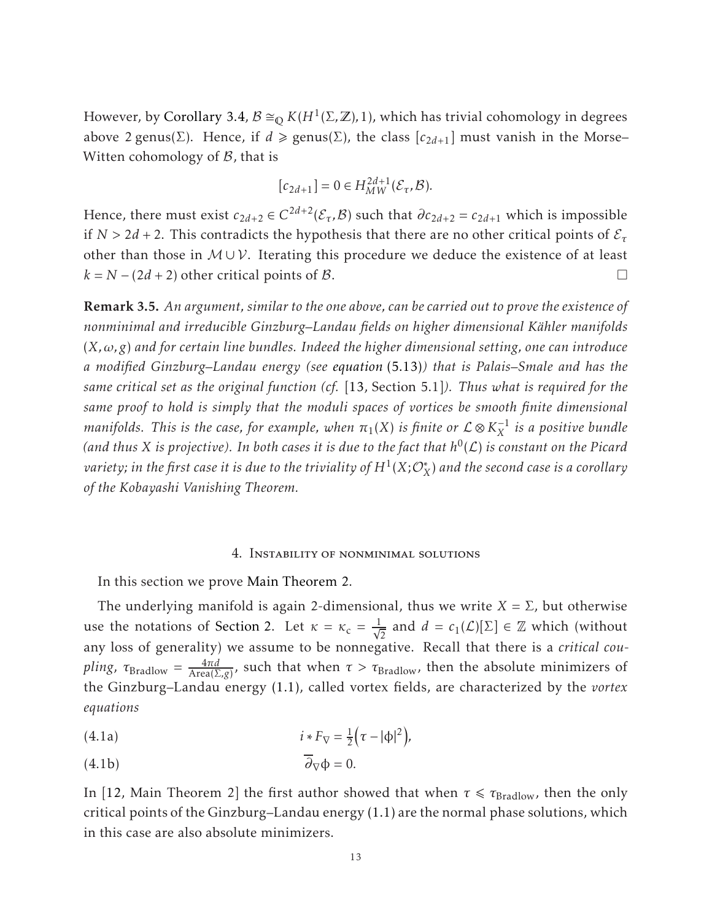However, by [Corollary 3.4,](#page-9-0)  $\mathcal{B} \cong_{\mathbb{Q}} K(H^1(\Sigma, \mathbb{Z}), 1)$ , which has trivial cohomology in degrees above 2 genus(Σ). Hence, if  $d \ge \text{genus}(\Sigma)$ , the class  $[c_{2d+1}]$  must vanish in the Morse– Witten cohomology of  $\beta$ , that is

$$
[c_{2d+1}] = 0 \in H_{MW}^{2d+1}(\mathcal{E}_{\tau}, \mathcal{B}).
$$

Hence, there must exist  $c_{2d+2} \in C^{2d+2}(\mathcal{E}_{\tau}, \mathcal{B})$  such that  $\partial c_{2d+2} = c_{2d+1}$  which is impossible if  $N > 2d + 2$ . This contradicts the hypothesis that there are no other critical points of  $\mathcal{E}_{\tau}$ other than those in  $M \cup V$ . Iterating this procedure we deduce the existence of at least  $k = N - (2d + 2)$  other critical points of B.

Remark 3.5. *An argument, similar to the one above, can be carried out to prove the existence of nonminimal and irreducible Ginzburg–Landau fields on higher dimensional Kahler manifolds ¨* (*X,ω,g*) *and for certain line bundles. Indeed the higher dimensional setting, one can introduce a modified Ginzburg–Landau energy (see [equation](#page-22-0)* (5.13)*) that is Palais–Smale and has the same critical set as the original function (cf.* [\[13,](#page-29-14) Section 5.1]*). Thus what is required for the same proof to hold is simply that the moduli spaces of vortices be smooth finite dimensional*  $m$ anifolds. This is the case, for example, when  $\pi_1(X)$  is finite or  $\mathcal{L} \otimes K_X^{-1}$  is a positive bundle (and thus X is projective). In both cases it is due to the fact that  $h^0(\mathcal{L})$  is constant on the Picard  $v$ ariety; in the first case it is due to the triviality of  $H^1(X; \mathcal{O}_X^*)$  and the second case is a corollary *of the Kobayashi Vanishing Theorem.*

#### 4. Instability of nonminimal solutions

<span id="page-12-0"></span>In this section we prove [Main Theorem 2.](#page-2-1)

The underlying manifold is again 2-dimensional, thus we write  $X = \Sigma$ , but otherwise use the notations of [Section 2.](#page-4-0) Let  $\kappa = \kappa_c = \frac{1}{\sqrt{2}}$  and  $d = c_1(\mathcal{L})[\Sigma] \in \mathbb{Z}$  which (without any loss of generality) we assume to be nonnegative. Recall that there is a *critical coupling*,  $\tau_{\text{Bradlow}} = \frac{4\pi d}{\text{Area}(\Sigma, g)}$ , such that when  $\tau > \tau_{\text{Bradlow}}$ , then the absolute minimizers of the Ginzburg–Landau energy [\(1.1\),](#page-1-0) called vortex fields, are characterized by the *vortex equations*

<span id="page-12-1"></span>(4.1a) 
$$
i * F_{\nabla} = \frac{1}{2} (\tau - |\phi|^2),
$$

<span id="page-12-2"></span>
$$
\overline{\partial}_{\nabla}\Phi = 0.
$$

In [\[12,](#page-29-1) Main Theorem 2] the first author showed that when  $\tau \le \tau_{\text{Bradlow}}$ , then the only critical points of the Ginzburg–Landau energy [\(1.1\)](#page-1-0) are the normal phase solutions, which in this case are also absolute minimizers.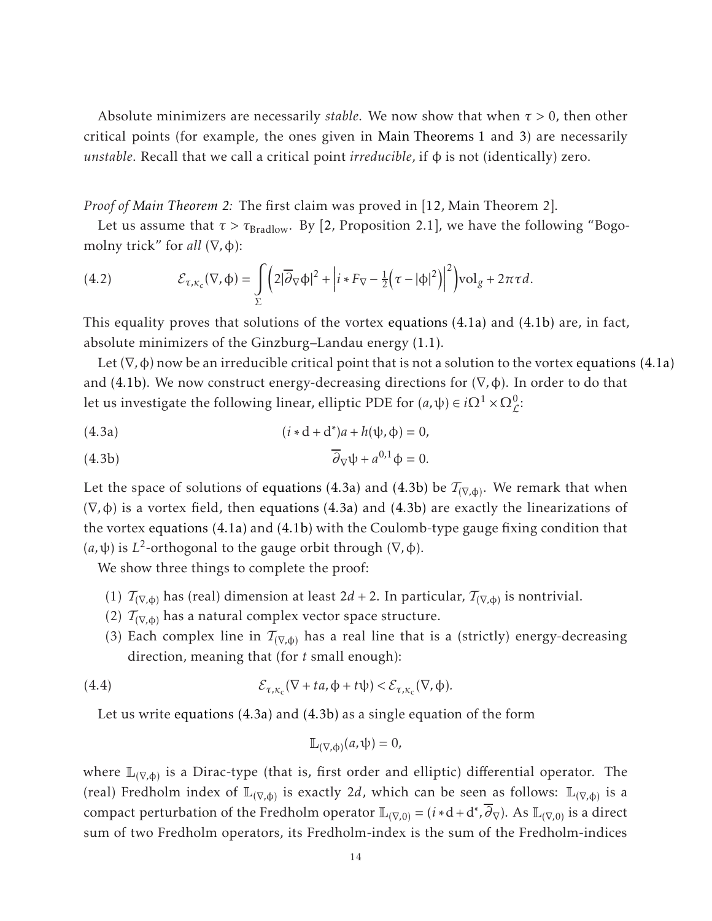Absolute minimizers are necessarily *stable*. We now show that when *τ >* 0, then other critical points (for example, the ones given in [Main Theorems 1](#page-2-0) and [3\)](#page-2-2) are necessarily *unstable*. Recall that we call a critical point *irreducible*, if φ is not (identically) zero.

*Proof of [Main Theorem 2:](#page-2-1)* The first claim was proved in [\[12,](#page-29-1) Main Theorem 2].

Let us assume that  $\tau > \tau_{\text{Bradlow}}$ . By [\[2,](#page-29-3) Proposition 2.1], we have the following "Bogomolny trick" for *all*  $(\nabla, \phi)$ :

<span id="page-13-2"></span>(4.2) 
$$
\mathcal{E}_{\tau,\kappa_c}(\nabla,\phi)=\int\limits_{\Sigma}\bigg(2|\overline{\partial}_{\nabla}\phi|^2+\Big|i*F_{\nabla}-\frac{1}{2}\Big(\tau-|\phi|^2\Big)\bigg|^2\bigg)\mathrm{vol}_g+2\pi\tau d.
$$

This equality proves that solutions of the vortex [equations \(4.1a\)](#page-12-1) and [\(4.1b\)](#page-12-2) are, in fact, absolute minimizers of the Ginzburg–Landau energy [\(1.1\).](#page-1-0)

Let  $(\nabla, \phi)$  now be an irreducible critical point that is not a solution to the vortex [equations \(4.1a\)](#page-12-1) and [\(4.1b\).](#page-12-2) We now construct energy-decreasing directions for (∇*,*φ). In order to do that let us investigate the following linear, elliptic PDE for  $(a, \psi) \in i\Omega^1 \times \Omega^0_{\mathcal{L}}$ :

<span id="page-13-0"></span>(4.3a) 
$$
(i * d + d^*)a + h(\psi, \phi) = 0,
$$

<span id="page-13-1"></span>(4.3b) 
$$
\overline{\partial}_{\nabla}\psi + a^{0,1}\phi = 0.
$$

Let the space of solutions of <mark>[equations \(4.3a\)](#page-13-0)</mark> and [\(4.3b\)](#page-13-1) be  $\mathcal{T}_{(\nabla,\varphi)}$ . We remark that when (∇*,*φ) is a vortex field, then [equations \(4.3a\)](#page-13-0) and [\(4.3b\)](#page-13-1) are exactly the linearizations of the vortex [equations \(4.1a\)](#page-12-1) and [\(4.1b\)](#page-12-2) with the Coulomb-type gauge fixing condition that (*a,*ψ) is *L* 2 -orthogonal to the gauge orbit through (∇*,*φ).

We show three things to complete the proof:

- (1)  $\mathcal{T}_{(\nabla,\phi)}$  has (real) dimension at least 2*d* + 2. In particular,  $\mathcal{T}_{(\nabla,\phi)}$  is nontrivial.
- (2)  $T_{(\nabla,\phi)}$  has a natural complex vector space structure.
- (3) Each complex line in  $T_{(\nabla,\phi)}$  has a real line that is a (strictly) energy-decreasing direction, meaning that (for *t* small enough):

(4.4) 
$$
\mathcal{E}_{\tau,\kappa_c}(\nabla + ta, \Phi + t\psi) < \mathcal{E}_{\tau,\kappa_c}(\nabla, \Phi).
$$

Let us write [equations \(4.3a\)](#page-13-0) and [\(4.3b\)](#page-13-1) as a single equation of the form

<span id="page-13-3"></span>
$$
\mathbb{L}_{(\nabla,\Phi)}(a,\psi)=0,
$$

where  $\mathbb{L}_{(\nabla,\varphi)}$  is a Dirac-type (that is, first order and elliptic) differential operator. The (real) Fredholm index of  $\mathbb{L}_{(\nabla,\phi)}$  is exactly 2*d*, which can be seen as follows:  $\mathbb{L}_{(\nabla,\phi)}$  is a compact perturbation of the Fredholm operator  $\mathbb{L}_{(\nabla,0)} = (i * d + d^*, \partial_{\nabla})$ . As  $\mathbb{L}_{(\nabla,0)}$  is a direct sum of two Fredholm operators, its Fredholm-index is the sum of the Fredholm-indices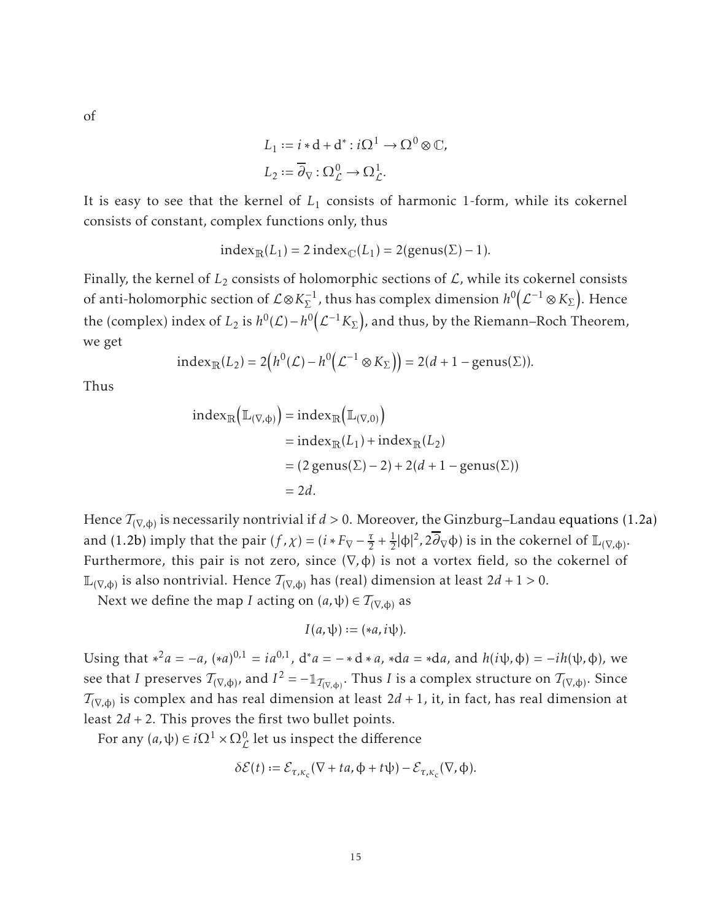of

$$
L_1 := i * d + d^* : i\Omega^1 \to \Omega^0 \otimes \mathbb{C},
$$
  

$$
L_2 := \overline{\partial}_{\nabla} : \Omega^0_{\mathcal{L}} \to \Omega^1_{\mathcal{L}}.
$$

It is easy to see that the kernel of *L*<sup>1</sup> consists of harmonic 1-form, while its cokernel consists of constant, complex functions only, thus

$$
index_{\mathbb{R}}(L_1) = 2 index_{\mathbb{C}}(L_1) = 2(genus(\Sigma) - 1).
$$

Finally, the kernel of  $L_2$  consists of holomorphic sections of  $L$ , while its cokernel consists of anti-holomorphic section of  $\mathcal{L} \otimes K_{\Sigma}^{-1}$ , thus has complex dimension  $h^0\Big($  $\mathcal{L}^{-1}\otimes K_{\Sigma}$ ). Hence the (complex) index of  $L_2$  is  $h^0(\mathcal{L}) - h^0(\mathcal{L})$  $\mathcal{L}^{-1}K_\Sigma$  ), and thus, by the Riemann–Roch Theorem, we get

$$
\mathrm{index}_{\mathbb{R}}(L_2) = 2(h^0(\mathcal{L}) - h^0(\mathcal{L}^{-1} \otimes K_{\Sigma})) = 2(d+1-\mathrm{genus}(\Sigma)).
$$

Thus

$$
\begin{aligned} \text{index}_{\mathbb{R}} \Big( \mathbb{L}_{(\nabla, \Phi)} \Big) &= \text{index}_{\mathbb{R}} \Big( \mathbb{L}_{(\nabla, 0)} \Big) \\ &= \text{index}_{\mathbb{R}} (L_1) + \text{index}_{\mathbb{R}} (L_2) \\ &= (2 \text{ genus} (\Sigma) - 2) + 2(d + 1 - \text{ genus} (\Sigma)) \\ &= 2d. \end{aligned}
$$

Hence  $\mathcal{T}_{(\nabla,\varphi)}$  is necessarily nontrivial if *d* > 0. Moreover, the Ginzburg–Landau [equations \(1.2a\)](#page-1-2) and [\(1.2b\)](#page-1-3) imply that the pair  $(f, \chi) = (i * F_{\nabla} - \frac{\tau}{2})$  $\frac{\tau}{2} + \frac{1}{2}$  $\frac{1}{2}$ |φ|<sup>2</sup>, 2∂<sub>∇</sub>φ) is in the cokernel of  $\mathbb{L}_{(\nabla,\phi)}$ . Furthermore, this pair is not zero, since (∇*,*φ) is not a vortex field, so the cokernel of <sup>L</sup>(∇*,*φ) is also nontrivial. Hence T(∇*,*φ) has (real) dimension at least 2*d* + 1 *>* 0.

Next we define the map *I* acting on  $(a, \psi) \in T_{(\nabla, \phi)}$  as

$$
I(a,\psi) := (*a,i\psi).
$$

Using that  $*^2a = -a$ ,  $(*a)^{0,1} = ia^{0,1}$ ,  $d^*a = -*d*a$ ,  $*da = *da$ , and  $h(i\psi, \phi) = -ih(\psi, \phi)$ , we see that *I* preserves  $\mathcal{T}_{(\nabla,\phi)}$ , and  $I^2=-\mathbb{1}_{\mathcal{T}_{(\nabla,\phi)}}.$  Thus *I* is a complex structure on  $\mathcal{T}_{(\nabla,\phi)}.$  Since  $\mathcal{T}_{(\nabla,\varphi)}$  is complex and has real dimension at least  $2d+1$ , it, in fact, has real dimension at least  $2d + 2$ . This proves the first two bullet points.

For any  $(a, \psi) \in i\Omega^1 \times \Omega^0_{\mathcal{L}}$  let us inspect the difference

$$
\delta \mathcal{E}(t) := \mathcal{E}_{\tau,\kappa_c}(\nabla + ta, \Phi + t\psi) - \mathcal{E}_{\tau,\kappa_c}(\nabla, \Phi).
$$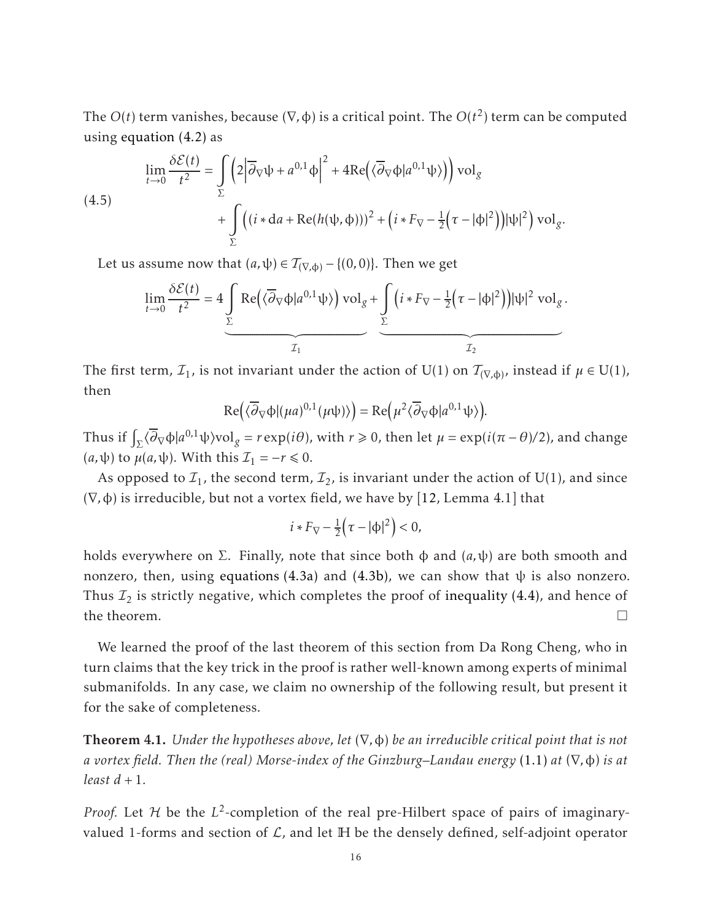The  $O(t)$  term vanishes, because  $(\nabla, \phi)$  is a critical point. The  $O(t^2)$  term can be computed using [equation \(4.2\)](#page-13-2) as

<span id="page-15-1"></span>(4.5)  
\n
$$
\lim_{t \to 0} \frac{\delta \mathcal{E}(t)}{t^2} = \int_{\Sigma} \left( 2 \left| \overline{\partial}_{\nabla} \psi + a^{0,1} \phi \right|^2 + 4 \text{Re} \left( \langle \overline{\partial}_{\nabla} \phi | a^{0,1} \psi \rangle \right) \right) \text{vol}_g + \int_{\Sigma} \left( \left( i \ast da + \text{Re} (h(\psi, \phi)) \right)^2 + \left( i \ast F_{\nabla} - \frac{1}{2} \left( \tau - |\phi|^2 \right) \right) |\psi|^2 \right) \text{vol}_g.
$$

Let us assume now that  $(a, \psi) \in T_{(\nabla, \phi)} - \{(0, 0)\}.$  Then we get

$$
\lim_{t \to 0} \frac{\delta \mathcal{E}(t)}{t^2} = 4 \underbrace{\int_{\Sigma} \text{Re}(\langle \overline{\partial}_{\nabla} \varphi | a^{0,1} \psi \rangle) \text{vol}_{g} + \int_{\Sigma} (i * F_{\nabla} - \frac{1}{2} (\tau - |\varphi|^2)) |\psi|^2 \text{ vol}_{g}}_{\mathcal{I}_{1}}.
$$

The first term,  $\mathcal{I}_1$ , is not invariant under the action of U(1) on  $\mathcal{T}_{(\nabla,\phi)}$ , instead if  $\mu \in$  U(1), then

$$
\mathrm{Re}\left(\langle\overline{\partial}_{\nabla}\varphi|(\mu a)^{0,1}(\mu \psi)\rangle\right)=\mathrm{Re}\left(\mu^2\langle\overline{\partial}_{\nabla}\varphi|a^{0,1}\psi\rangle\right).
$$

Thus if  $\int_{\Sigma} \langle \overline{\partial}_{\nabla} \phi | a^{0,1} \psi \rangle \text{vol}_g = r \exp(i\theta)$ , with  $r \ge 0$ , then let  $\mu = \exp(i(\pi - \theta)/2)$ , and change  $(a, \psi)$  to  $\mu(a, \psi)$ . With this  $\mathcal{I}_1 = -r \leq 0$ .

As opposed to  $\mathcal{I}_1$ , the second term,  $\mathcal{I}_2$ , is invariant under the action of U(1), and since (∇*,*φ) is irreducible, but not a vortex field, we have by [\[12,](#page-29-1) Lemma 4.1] that

$$
i * F_{\nabla} - \frac{1}{2} \left( \tau - |\phi|^2 \right) < 0,
$$

holds everywhere on  $\Sigma$ . Finally, note that since both  $\phi$  and  $(a, \psi)$  are both smooth and nonzero, then, using [equations \(4.3a\)](#page-13-0) and [\(4.3b\),](#page-13-1) we can show that  $\psi$  is also nonzero. Thus  $\mathcal{I}_2$  is strictly negative, which completes the proof of [inequality \(4.4\),](#page-13-3) and hence of the theorem.  $\Box$ 

We learned the proof of the last theorem of this section from Da Rong Cheng, who in turn claims that the key trick in the proof is rather well-known among experts of minimal submanifolds. In any case, we claim no ownership of the following result, but present it for the sake of completeness.

<span id="page-15-0"></span>Theorem 4.1. *Under the hypotheses above, let* (∇*,*φ) *be an irreducible critical point that is not a vortex field. Then the (real) Morse-index of the Ginzburg–Landau energy* [\(1.1\)](#page-1-0) *at* (∇*,*φ) *is at least*  $d + 1$ *.* 

*Proof.* Let  $H$  be the  $L^2$ -completion of the real pre-Hilbert space of pairs of imaginaryvalued 1-forms and section of  $\mathcal{L}$ , and let  $\mathbb H$  be the densely defined, self-adjoint operator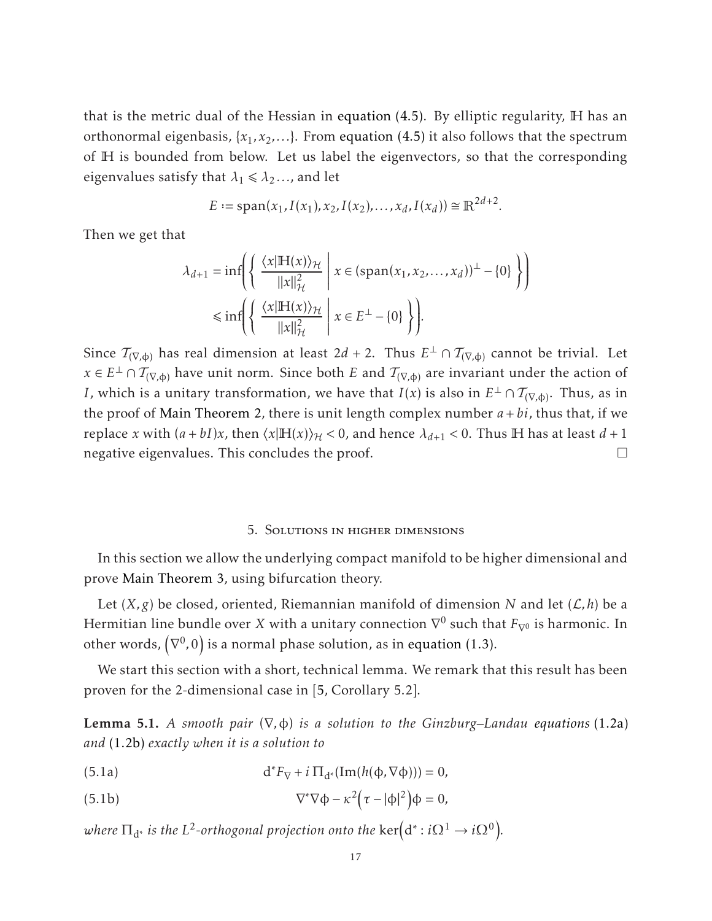that is the metric dual of the Hessian in [equation \(4.5\).](#page-15-1) By elliptic regularity, H has an orthonormal eigenbasis, {*x*1*, x*2*,...*}. From [equation \(4.5\)](#page-15-1) it also follows that the spectrum of H is bounded from below. Let us label the eigenvectors, so that the corresponding eigenvalues satisfy that  $\lambda_1 \leq \lambda_2 \dots$ , and let

$$
E := \text{span}(x_1, I(x_1), x_2, I(x_2), \dots, x_d, I(x_d)) \cong \mathbb{R}^{2d+2}.
$$

Then we get that

$$
\lambda_{d+1} = \inf \left( \left\{ \left. \frac{\langle x | \mathbb{H}(x) \rangle_{\mathcal{H}}}{\|x\|_{\mathcal{H}}^2} \; \right| \; x \in (\text{span}(x_1, x_2, \dots, x_d))^{\perp} - \{0\} \right\} \right)
$$
  

$$
\leq \inf \left( \left\{ \left. \frac{\langle x | \mathbb{H}(x) \rangle_{\mathcal{H}}}{\|x\|_{\mathcal{H}}^2} \; \right| \; x \in E^{\perp} - \{0\} \right\} \right).
$$

Since  $\mathcal{T}_{(\nabla,\phi)}$  has real dimension at least 2*d* + 2. Thus  $E^{\perp}\cap\mathcal{T}_{(\nabla,\phi)}$  cannot be trivial. Let  $x\in E^\perp\cap T_{(\nabla,\varphi)}$  have unit norm. Since both  $E$  and  $T_{(\nabla,\varphi)}$  are invariant under the action of *I*, which is a unitary transformation, we have that  $I(x)$  is also in  $E^{\perp} \cap T_{(\nabla,\varphi)}$ . Thus, as in the proof of [Main Theorem 2,](#page-2-1) there is unit length complex number  $a + bi$ , thus that, if we replace *x* with  $(a + bI)x$ , then  $\langle x|H(x)\rangle_{\mathcal{H}}$  < 0, and hence  $\lambda_{d+1}$  < 0. Thus H has at least  $d+1$ negative eigenvalues. This concludes the proof.  $\Box$ 

## 5. Solutions in higher dimensions

<span id="page-16-0"></span>In this section we allow the underlying compact manifold to be higher dimensional and prove [Main Theorem 3,](#page-2-2) using bifurcation theory.

Let  $(X, g)$  be closed, oriented, Riemannian manifold of dimension *N* and let  $(L, h)$  be a Hermitian line bundle over *X* with a unitary connection  $\nabla^0$  such that  $F_{\nabla^0}$  is harmonic. In other words,  $\left(\nabla^{0},0\right)$  is a normal phase solution, as in [equation \(1.3\).](#page-1-1)

<span id="page-16-3"></span>We start this section with a short, technical lemma. We remark that this result has been proven for the 2-dimensional case in [\[5,](#page-29-6) Corollary 5.2].

Lemma 5.1. *A smooth pair* (∇*,*φ) *is a solution to the Ginzburg–Landau [equations](#page-1-2)* (1.2a) *and* [\(1.2b\)](#page-1-3) *exactly when it is a solution to*

<span id="page-16-2"></span>(5.1a)  $d^*F_{\nabla} + i \Pi_{d^*}(\text{Im}(h(\phi, \nabla \phi))) = 0,$ 

<span id="page-16-1"></span>(5.1b) 
$$
\nabla^*\nabla\phi - \kappa^2(\tau - |\phi|^2)\phi = 0,
$$

where  $\Pi_{\mathbf{d}^*}$  is the  $L^2$ -orthogonal projection onto the  $\ker\Bigl(\mathbf{d}^*:i\Omega^1\to i\Omega^0\Bigr).$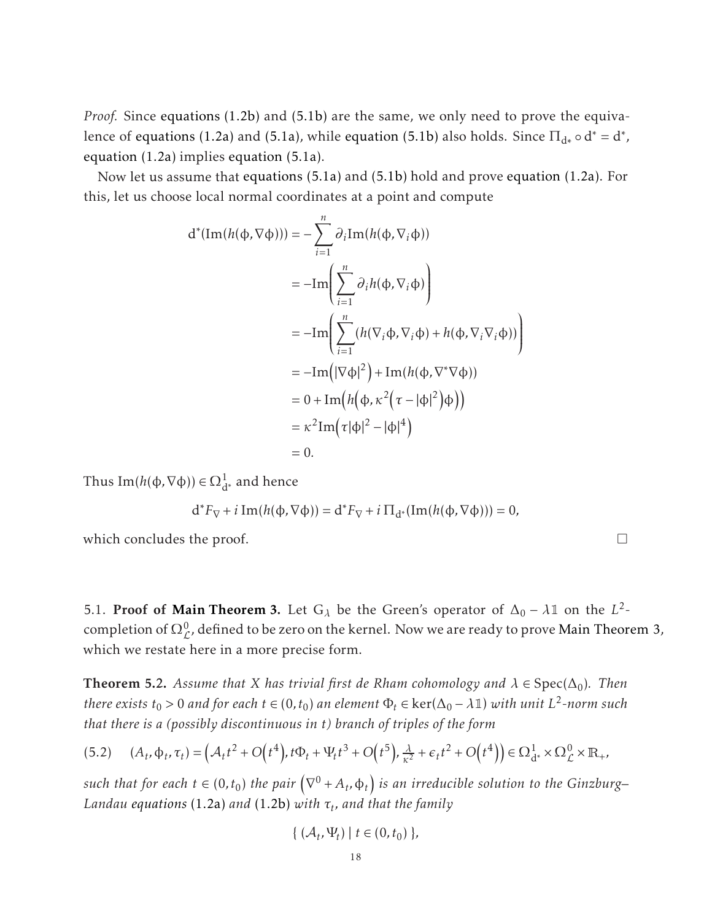*Proof.* Since [equations \(1.2b\)](#page-1-3) and [\(5.1b\)](#page-16-1) are the same, we only need to prove the equivalence of [equations \(1.2a\)](#page-1-2) and [\(5.1a\),](#page-16-2) while [equation \(5.1b\)](#page-16-1) also holds. Since  $\Pi_{d^*} \circ d^* = d^*$ , [equation \(1.2a\)](#page-1-2) implies [equation \(5.1a\).](#page-16-2)

Now let us assume that [equations \(5.1a\)](#page-16-2) and [\(5.1b\)](#page-16-1) hold and prove [equation \(1.2a\).](#page-1-2) For this, let us choose local normal coordinates at a point and compute

$$
d^*(Im(h(\phi, \nabla \phi))) = -\sum_{i=1}^n \partial_i Im(h(\phi, \nabla_i \phi))
$$
  
= 
$$
-Im \left( \sum_{i=1}^n \partial_i h(\phi, \nabla_i \phi) \right)
$$
  
= 
$$
-Im \left( \sum_{i=1}^n (h(\nabla_i \phi, \nabla_i \phi) + h(\phi, \nabla_i \nabla_i \phi)) \right)
$$
  
= 
$$
-Im(|\nabla \phi|^2) + Im(h(\phi, \nabla^* \nabla \phi))
$$
  
= 
$$
0 + Im(h(\phi, \kappa^2 (\tau - |\phi|^2) \phi))
$$
  
= 
$$
\kappa^2 Im(\tau |\phi|^2 - |\phi|^4)
$$
  
= 0.

Thus Im( $h$ (φ, ∇φ)) ∈  $Ω_{d^*}^1$  and hence

$$
d^*F_{\nabla} + i \operatorname{Im}(h(\varphi, \nabla \varphi)) = d^*F_{\nabla} + i \Pi_{d^*}(\operatorname{Im}(h(\varphi, \nabla \varphi))) = 0,
$$

which concludes the proof.  $\Box$ 

5.1. **Proof of [Main Theorem 3.](#page-2-2)** Let  $G_{\lambda}$  be the Green's operator of  $\Delta_0 - \lambda \mathbb{1}$  on the  $L^2$ completion of  $\Omega^0_{\mathcal{L}}$ , defined to be zero on the kernel. Now we are ready to prove [Main Theorem 3,](#page-2-2) which we restate here in a more precise form.

**Theorem 5.2.** Assume that *X* has trivial first de Rham cohomology and  $\lambda \in \text{Spec}(\Delta_0)$ . Then *there exists*  $t_0 > 0$  and for each  $t \in (0, t_0)$  an element  $\Phi_t \in \text{ker}(\Delta_0 - \lambda \mathbb{1})$  with unit  $L^2$ -norm such *that there is a (possibly discontinuous in t) branch of triples of the form*

<span id="page-17-0"></span>
$$
(5.2) \quad (A_t, \Phi_t, \tau_t) = \left(A_t t^2 + O(t^4), t\Phi_t + \Psi_t t^3 + O(t^5), \frac{\lambda}{\kappa^2} + \epsilon_t t^2 + O(t^4)\right) \in \Omega^1_{d^*} \times \Omega^0_{\mathcal{L}} \times \mathbb{R}_+,
$$

such that for each  $t \in (0,t_0)$  the pair  $\left(\nabla^0 + A_t, \varphi_t\right)$  is an irreducible solution to the Ginzburg– *Landau [equations](#page-1-2)* (1.2a) *and* [\(1.2b\)](#page-1-3) *with τ<sup>t</sup> , and that the family*

$$
\{(\mathcal{A}_t, \Psi_t) \mid t \in (0, t_0) \},\
$$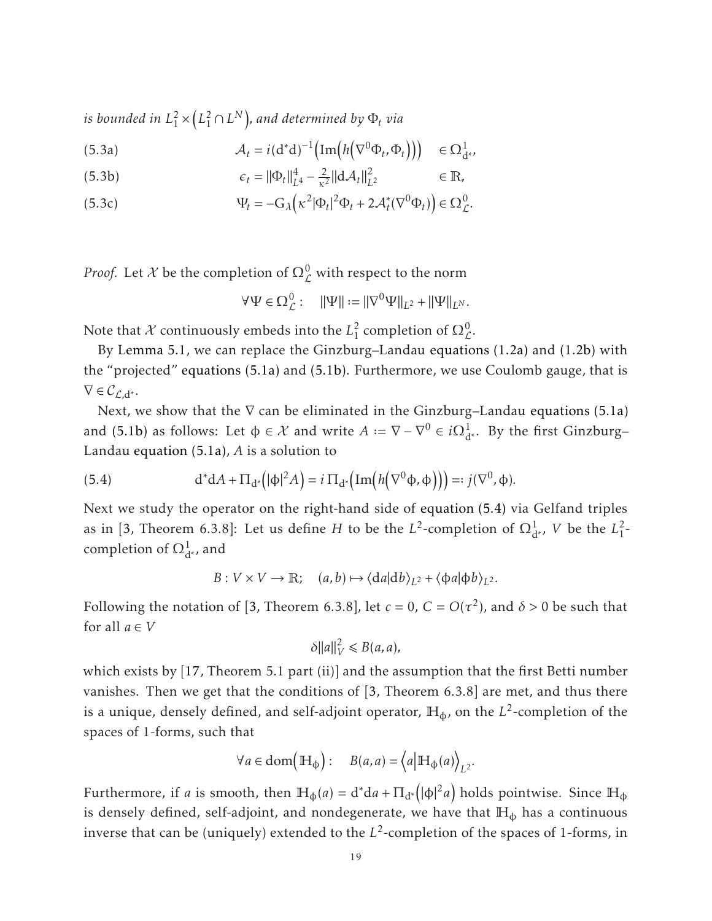*is bounded in L* 2  $\frac{1}{1}$   $\times$  $\left(L_1^2 \cap L^N\right)$ , and determined by  $\Phi_t$  via

<span id="page-18-1"></span>(5.3a) 
$$
\mathcal{A}_t = i(\mathbf{d}^*\mathbf{d})^{-1} \Big( \text{Im} \Big( h \Big( \nabla^0 \Phi_t, \Phi_t \Big) \Big) \Big) \in \Omega^1_{\mathbf{d}^*},
$$

(5.3b) 
$$
\epsilon_t = ||\Phi_t||_{L^4}^4 - \frac{2}{\kappa^2} ||d\mathcal{A}_t||_{L^2}^2 \qquad \in \mathbb{R},
$$

<span id="page-18-2"></span>(5.3c) 
$$
\Psi_t = -G_\lambda \left( \kappa^2 |\Phi_t|^2 \Phi_t + 2 \mathcal{A}_t^* (\nabla^0 \Phi_t) \right) \in \Omega^0_{\mathcal{L}}.
$$

*Proof.* Let  $\mathcal X$  be the completion of  $\Omega^0_{\mathcal L}$  with respect to the norm

$$
\forall \Psi \in \Omega^0_{\mathcal{L}}: \quad ||\Psi|| := ||\nabla^0 \Psi||_{L^2} + ||\Psi||_{L^N}.
$$

Note that  $X$  continuously embeds into the  $L_1^2$  $\frac{2}{1}$  completion of  $\Omega_{\mathcal{L}}^{0}$ .

By [Lemma 5.1,](#page-16-3) we can replace the Ginzburg–Landau [equations \(1.2a\)](#page-1-2) and [\(1.2b\)](#page-1-3) with the "projected" [equations \(5.1a\)](#page-16-2) and [\(5.1b\).](#page-16-1) Furthermore, we use Coulomb gauge, that is  $\nabla \in \mathcal{C}_{\ell}$ <sub>d</sub>∗.

Next, we show that the  $\nabla$  can be eliminated in the Ginzburg–Landau [equations \(5.1a\)](#page-16-2) and [\(5.1b\)](#page-16-1) as follows: Let  $\phi \in \mathcal{X}$  and write  $A := \nabla - \nabla^0 \in i\Omega^1_{d^*}$ . By the first Ginzburg– Landau [equation \(5.1a\),](#page-16-2) *A* is a solution to

(5.4) 
$$
d^*dA + \Pi_{d^*}(|\phi|^2 A) = i \Pi_{d^*}(\text{Im}\big(h(\nabla^0 \phi, \phi)\big)\big) =: j(\nabla^0, \phi).
$$

Next we study the operator on the right-hand side of [equation \(5.4\)](#page-18-0) via Gelfand triples as in [\[3,](#page-29-15) Theorem 6.3.8]: Let us define *H* to be the *L*<sup>2</sup>-completion of  $\Omega^1_{d^*}$ , *V* be the  $L^2_1$  $\frac{2}{1}$ completion of  $\Omega^1_{d^{*}}$ , and

<span id="page-18-0"></span> $B: V \times V \to \mathbb{R}; \quad (a, b) \mapsto \langle da | db \rangle_{L^2} + \langle \phi a | \phi b \rangle_{L^2}.$ 

Following the notation of [\[3,](#page-29-15) Theorem 6.3.8], let  $c = 0$ ,  $C = O(\tau^2)$ , and  $\delta > 0$  be such that for all  $a \in V$ 

$$
\delta ||a||_V^2 \le B(a,a),
$$

which exists by [\[17,](#page-29-16) Theorem 5.1 part (ii)] and the assumption that the first Betti number vanishes. Then we get that the conditions of [\[3,](#page-29-15) Theorem 6.3.8] are met, and thus there is a unique, densely defined, and self-adjoint operator,  $\mathbb{H}_{\Phi}$ , on the  $L^2$ -completion of the spaces of 1-forms, such that

$$
\forall a \in \text{dom}\left(\mathbb{H}_{\varphi}\right): B(a, a) = \left\langle a \middle| \mathbb{H}_{\varphi}(a) \right\rangle_{L^2}.
$$

Furthermore, if *a* is smooth, then  $\mathbb{H}_{\phi}(a) = d^*da + \Pi_{d^*}(|\phi|^2 a)$  holds pointwise. Since  $\mathbb{H}_{\phi}$ is densely defined, self-adjoint, and nondegenerate, we have that  $H_{\Phi}$  has a continuous inverse that can be (uniquely) extended to the *L* 2 -completion of the spaces of 1-forms, in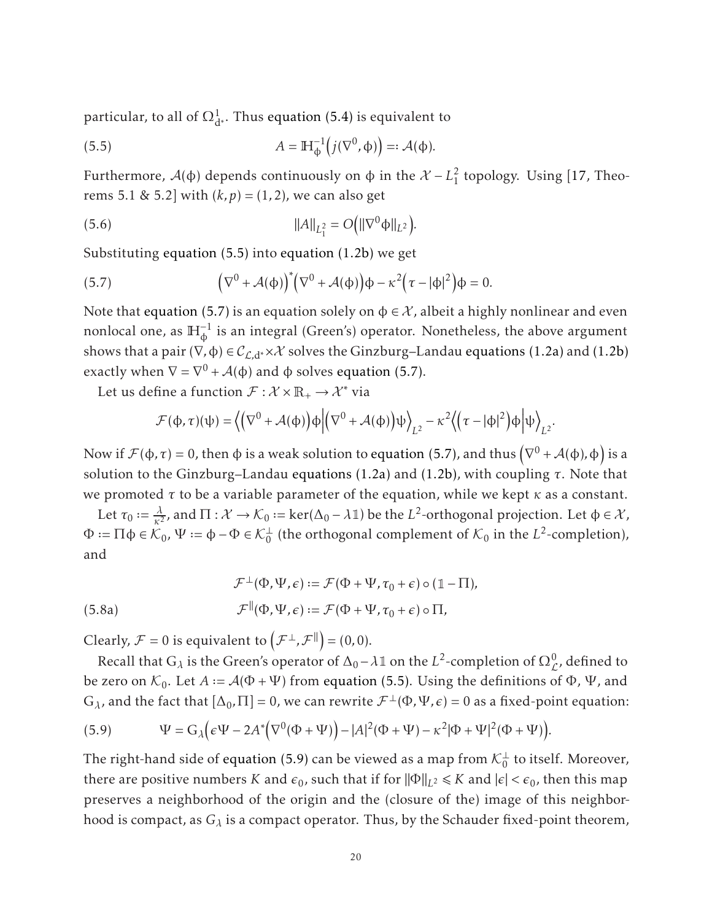particular, to all of  $\Omega^1_{\rm d^*}$ . Thus [equation \(5.4\)](#page-18-0) is equivalent to

<span id="page-19-0"></span>(5.5) 
$$
A = \mathbb{H}_{\Phi}^{-1} \big(j(\nabla^{0}, \Phi)\big) =: \mathcal{A}(\Phi).
$$

Furthermore,  $A$ (φ) depends continuously on φ in the  $X - L<sub>1</sub><sup>2</sup>$  $\frac{2}{1}$  topology. Using [\[17,](#page-29-16) Theorems 5.1 & 5.2] with  $(k, p) = (1, 2)$ , we can also get

<span id="page-19-3"></span>(5.6) 
$$
||A||_{L_1^2} = O(|\nabla^0 \phi||_{L^2}).
$$

Substituting [equation \(5.5\)](#page-19-0) into [equation \(1.2b\)](#page-1-3) we get

<span id="page-19-1"></span>(5.7) 
$$
\left(\nabla^0 + \mathcal{A}(\phi)\right)^* \left(\nabla^0 + \mathcal{A}(\phi)\right) \phi - \kappa^2 \left(\tau - |\phi|^2\right) \phi = 0.
$$

Note that [equation \(5.7\)](#page-19-1) is an equation solely on  $\phi \in \mathcal{X}$ , albeit a highly nonlinear and even nonlocal one, as  $\mathbb{H}_{\Phi}^{-1}$  is an integral (Green's) operator. Nonetheless, the above argument shows that a pair  $(\nabla, \phi) \in C_{\mathcal{L}, d^*} \times \mathcal{X}$  solves the Ginzburg–Landau [equations \(1.2a\)](#page-1-2) and [\(1.2b\)](#page-1-3) exactly when  $\nabla = \nabla^0 + \mathcal{A}(\phi)$  and  $\phi$  solves [equation \(5.7\).](#page-19-1)

Let us define a function  $\mathcal{F} : \mathcal{X} \times \mathbb{R}_+ \to \mathcal{X}^*$  via

$$
\mathcal{F}(\varphi,\tau)(\psi) = \left\langle \left(\nabla^0 + \mathcal{A}(\varphi)\right) \varphi \middle| \left(\nabla^0 + \mathcal{A}(\varphi)\right) \psi \right\rangle_{L^2} - \kappa^2 \left\langle \left(\tau - |\varphi|^2\right) \varphi \middle| \psi \right\rangle_{L^2}.
$$

Now if  $\mathcal{F}(\phi,\tau) = 0$ , then φ is a weak solution to [equation \(5.7\),](#page-19-1) and thus  $(\nabla^0 + \mathcal{A}(\phi), \phi)$  is a solution to the Ginzburg–Landau [equations \(1.2a\)](#page-1-2) and [\(1.2b\),](#page-1-3) with coupling *τ*. Note that we promoted *τ* to be a variable parameter of the equation, while we kept *κ* as a constant.

Let  $\tau_0 := \frac{\lambda}{\kappa^2}$  $\frac{\lambda}{\kappa^2}$ , and Π :  $\mathcal{X} \to \mathcal{K}_0$  := ker(Δ<sub>0</sub> −  $\lambda$ 1) be the *L*<sup>2</sup>-orthogonal projection. Let φ ∈  $\mathcal{X}$ ,  $\Phi := \Pi \phi \in \mathcal{K}_0$ ,  $\Psi := \phi - \Phi \in \mathcal{K}_0^{\perp}$  (the orthogonal complement of  $\mathcal{K}_0$  in the  $L^2$ -completion), and

<span id="page-19-4"></span>(5.8a) 
$$
\mathcal{F}^{\perp}(\Phi, \Psi, \epsilon) := \mathcal{F}(\Phi + \Psi, \tau_0 + \epsilon) \circ (\mathbb{1} - \Pi),
$$

$$
\mathcal{F}^{\parallel}(\Phi, \Psi, \epsilon) := \mathcal{F}(\Phi + \Psi, \tau_0 + \epsilon) \circ \Pi,
$$

Clearly,  $\mathcal{F} = 0$  is equivalent to  $(\mathcal{F}^{\perp}, \mathcal{F}^{\parallel}) = (0, 0)$ .

Recall that  $G_\lambda$  is the Green's operator of  $\Delta_0 - \lambda \mathbb{1}$  on the  $L^2$ -completion of  $\Omega^0_{\mathcal{L}}$ , defined to L be zero on  $\mathcal{K}_0$ . Let  $A := \mathcal{A}(\Phi + \Psi)$  from [equation \(5.5\).](#page-19-0) Using the definitions of  $\Phi$ ,  $\Psi$ , and  $G_{\lambda}$ , and the fact that  $[\Delta_0, \Pi] = 0$ , we can rewrite  $\mathcal{F}^{\perp}(\Phi, \Psi, \epsilon) = 0$  as a fixed-point equation:

<span id="page-19-2"></span>(5.9) 
$$
\Psi = G_{\lambda} \left( \epsilon \Psi - 2A^* \left( \nabla^0 (\Phi + \Psi) \right) - |A|^2 (\Phi + \Psi) - \kappa^2 |\Phi + \Psi|^2 (\Phi + \Psi) \right).
$$

The right-hand side of [equation \(5.9\)](#page-19-2) can be viewed as a map from  $\mathcal{K}^{\perp}_{0}$  to itself. Moreover, there are positive numbers *K* and  $\epsilon_0$ , such that if for  $\|\Phi\|_{L^2} \le K$  and  $|\epsilon| < \epsilon_0$ , then this map preserves a neighborhood of the origin and the (closure of the) image of this neighborhood is compact, as *G<sup>λ</sup>* is a compact operator. Thus, by the Schauder fixed-point theorem,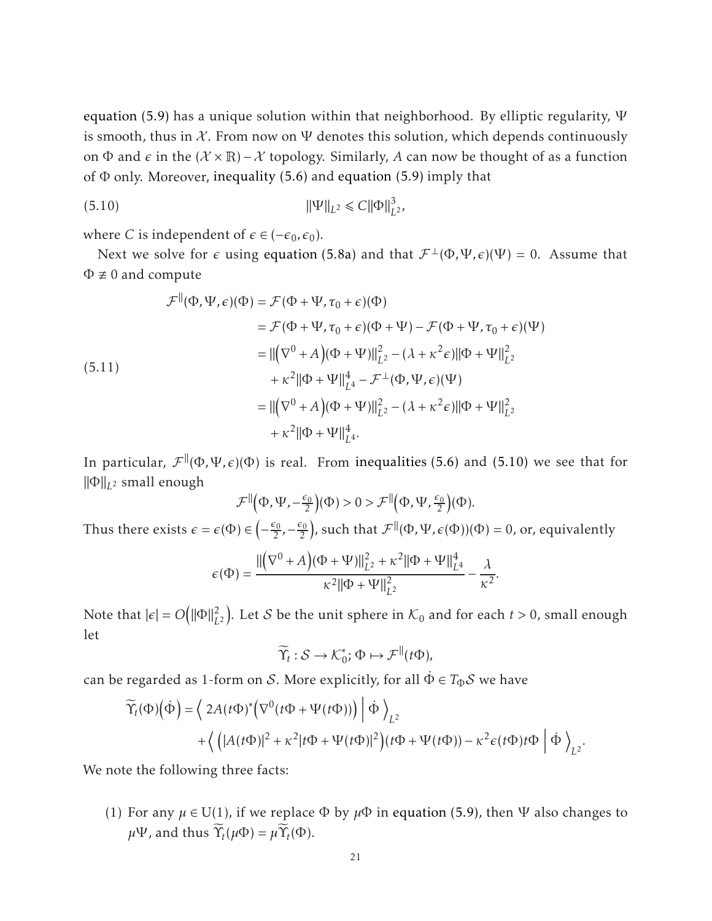[equation \(5.9\)](#page-19-2) has a unique solution within that neighborhood. By elliptic regularity,  $\Psi$ is smooth, thus in  $X$ . From now on  $\Psi$  denotes this solution, which depends continuously on  $\Phi$  and  $\epsilon$  in the ( $\mathcal{X} \times \mathbb{R}$ ) –  $\mathcal{X}$  topology. Similarly, A can now be thought of as a function of  $\Phi$  only. Moreover, [inequality \(5.6\)](#page-19-3) and [equation \(5.9\)](#page-19-2) imply that

<span id="page-20-0"></span>(5.10) 
$$
\|\Psi\|_{L^2} \leq C \|\Phi\|_{L^2}^3,
$$

where *C* is independent of  $\epsilon \in (-\epsilon_0, \epsilon_0)$ .

Next we solve for  $\epsilon$  using [equation \(5.8a\)](#page-19-4) and that  $\mathcal{F}^{\perp}(\Phi, \Psi, \epsilon)(\Psi) = 0$ . Assume that  $\Phi \not\equiv 0$  and compute

<span id="page-20-1"></span>
$$
\mathcal{F}^{\parallel}(\Phi, \Psi, \epsilon)(\Phi) = \mathcal{F}(\Phi + \Psi, \tau_0 + \epsilon)(\Phi)
$$
  
\n
$$
= \mathcal{F}(\Phi + \Psi, \tau_0 + \epsilon)(\Phi + \Psi) - \mathcal{F}(\Phi + \Psi, \tau_0 + \epsilon)(\Psi)
$$
  
\n
$$
= ||(\nabla^0 + A)(\Phi + \Psi)||_{L^2}^2 - (\lambda + \kappa^2 \epsilon) ||\Phi + \Psi||_{L^2}^2
$$
  
\n
$$
+ \kappa^2 ||\Phi + \Psi||_{L^4}^4 - \mathcal{F}^{\perp}(\Phi, \Psi, \epsilon)(\Psi)
$$
  
\n
$$
= ||(\nabla^0 + A)(\Phi + \Psi)||_{L^2}^2 - (\lambda + \kappa^2 \epsilon) ||\Phi + \Psi||_{L^2}^2
$$
  
\n
$$
+ \kappa^2 ||\Phi + \Psi||_{L^4}^4.
$$

In particular,  $\mathcal{F}^{\parallel}(\Phi,\Psi,\epsilon)(\Phi)$  is real. From [inequalities \(5.6\)](#page-19-3) and [\(5.10\)](#page-20-0) we see that for  $\|\Phi\|_{L^2}$  small enough

$$
\mathcal{F}^{\parallel}(\Phi, \Psi, -\frac{\epsilon_0}{2})(\Phi) > 0 > \mathcal{F}^{\parallel}(\Phi, \Psi, \frac{\epsilon_0}{2})(\Phi).
$$

Thus there exists  $\epsilon = \epsilon(\Phi) \in ($  $-\frac{\epsilon_0}{2}$  $\frac{\varepsilon_0}{2}$ ,  $-\frac{\varepsilon_0}{2}$ 2 ), such that  $\mathcal{F}^{\parallel}(\Phi, \Psi, \epsilon(\Phi))(\Phi) = 0$ , or, equivalently

$$
\epsilon(\Phi) = \frac{\|(\nabla^{0} + A)(\Phi + \Psi)\|_{L^{2}}^{2} + \kappa^{2} \|\Phi + \Psi\|_{L^{4}}^{4}}{\kappa^{2} \|\Phi + \Psi\|_{L^{2}}^{2}} - \frac{\lambda}{\kappa^{2}}.
$$

Note that  $|\epsilon| = O(||\Phi||_L^2)$  $\binom{2}{L^2}$ . Let S be the unit sphere in  $\mathcal{K}_0$  and for each  $t > 0$ , small enough let

$$
\widetilde{\Upsilon}_t : \mathcal{S} \to \mathcal{K}_0^*; \Phi \mapsto \mathcal{F}^{\parallel}(t\Phi),
$$

can be regarded as 1-form on S. More explicitly, for all  $\dot{\Phi} \in T_{\Phi}S$  we have

$$
\widetilde{\Upsilon}_{t}(\Phi)(\dot{\Phi}) = \left\langle 2A(t\Phi)^{*} \Big(\nabla^{0}(t\Phi + \Psi(t\Phi))\Big) \phi \right\rangle_{L^{2}} + \left\langle \left( |A(t\Phi)|^{2} + \kappa^{2} |t\Phi + \Psi(t\Phi)|^{2} \right) (t\Phi + \Psi(t\Phi)) - \kappa^{2} \epsilon (t\Phi) t\Phi \phi \right\rangle_{L^{2}}.
$$

We note the following three facts:

(1) For any  $\mu \in U(1)$ , if we replace  $\Phi$  by  $\mu \Phi$  in [equation \(5.9\),](#page-19-2) then  $\Psi$  also changes to  $\mu\Psi$ , and thus  $\widetilde{\Upsilon}_t(\mu\Phi) = \mu \widetilde{\Upsilon}_t(\Phi)$ .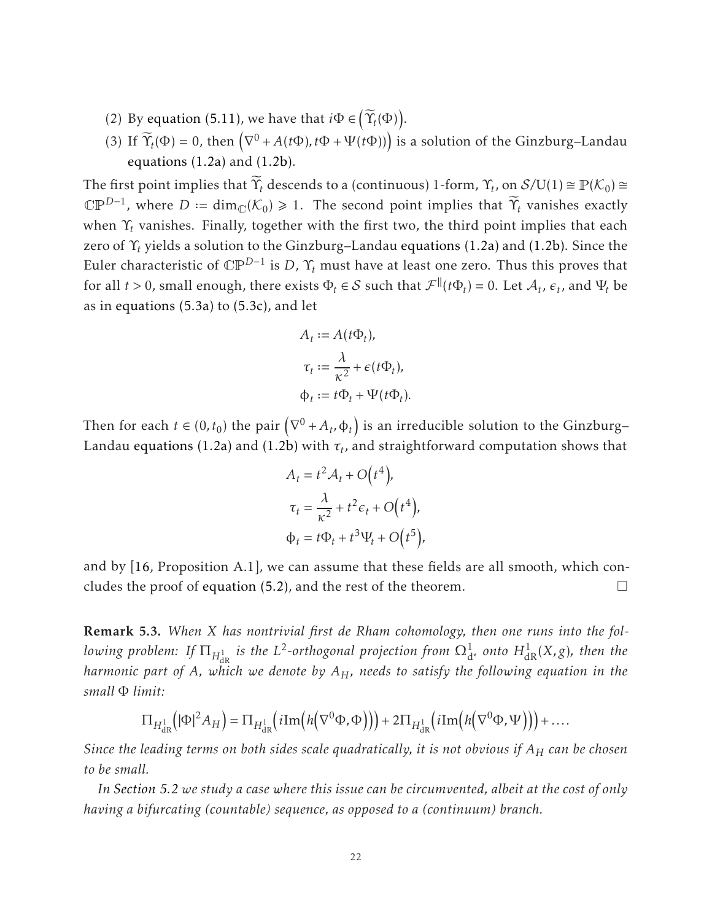- (2) By [equation \(5.11\),](#page-20-1) we have that  $i\Phi \in \left(\widetilde{\Upsilon}_{t}(\Phi)\right)$ .
- (3) If  $\widetilde{\Upsilon}_t(\Phi) = 0$ , then  $(\nabla^0 + A(t\Phi), t\Phi + \Psi(t\Phi)))$  is a solution of the Ginzburg–Landau [equations \(1.2a\)](#page-1-2) and [\(1.2b\).](#page-1-3)

The first point implies that  $\widetilde{\Upsilon}_t$  descends to a (continuous) 1-form,  $\Upsilon_t$ , on  $\mathcal{S}/U(1) \cong \mathbb{P}(\mathcal{K}_0) \cong$  $\mathbb{CP}^{D-1}$ , where  $D := \dim_{\mathbb{C}}(\mathcal{K}_0) \geq 1$ . The second point implies that  $\widetilde{\Upsilon}_t$  vanishes exactly when Υ*<sup>t</sup>* vanishes. Finally, together with the first two, the third point implies that each zero of Υ*<sup>t</sup>* yields a solution to the Ginzburg–Landau [equations \(1.2a\)](#page-1-2) and [\(1.2b\).](#page-1-3) Since the Euler characteristic of CP*D*−<sup>1</sup> is *D*, Υ*<sup>t</sup>* must have at least one zero. Thus this proves that for all  $t > 0$ , small enough, there exists  $\Phi_t \in S$  such that  $\mathcal{F}^{\parallel}(t\Phi_t) = 0$ . Let  $\mathcal{A}_t$ ,  $\epsilon_t$ , and  $\Psi_t$  be as in [equations \(5.3a\)](#page-18-1) to [\(5.3c\),](#page-18-2) and let

$$
A_t := A(t\Phi_t),
$$
  
\n
$$
\tau_t := \frac{\lambda}{\kappa^2} + \epsilon(t\Phi_t),
$$
  
\n
$$
\Phi_t := t\Phi_t + \Psi(t\Phi_t).
$$

Then for each  $t \in (0, t_0)$  the pair  $(\nabla^0 + A_t, \varphi_t)$  is an irreducible solution to the Ginzburg– Landau [equations \(1.2a\)](#page-1-2) and [\(1.2b\)](#page-1-3) with  $\tau_t$ , and straightforward computation shows that

$$
A_t = t^2 A_t + O(t^4),
$$
  
\n
$$
\tau_t = \frac{\lambda}{\kappa^2} + t^2 \epsilon_t + O(t^4),
$$
  
\n
$$
\Phi_t = t \Phi_t + t^3 \Psi_t + O(t^5),
$$

and by [\[16,](#page-29-2) Proposition A.1], we can assume that these fields are all smooth, which concludes the proof of [equation \(5.2\),](#page-17-0) and the rest of the theorem.  $\Box$ 

Remark 5.3. *When X has nontrivial first de Rham cohomology, then one runs into the fol* $l$  *owing problem: If*  $\Pi_{H^1_{\mathrm{dR}}}$  *is the L*<sup>2</sup>-orthogonal projection from  $\Omega^1_{\mathrm{d}^*}$  onto  $H^1_{\mathrm{dR}}(X,g)$ , then the *harmonic part of A, which we denote by AH, needs to satisfy the following equation in the small* Φ *limit:*

$$
\Pi_{H^1_{\mathrm{dR}}} \left( |\Phi|^2 A_H \right) = \Pi_{H^1_{\mathrm{dR}}} \left( i \mathrm{Im} \left( h \left( \nabla^0 \Phi, \Phi \right) \right) \right) + 2 \Pi_{H^1_{\mathrm{dR}}} \left( i \mathrm{Im} \left( h \left( \nabla^0 \Phi, \Psi \right) \right) \right) + \dots
$$

*Since the leading terms on both sides scale quadratically, it is not obvious if A<sup>H</sup> can be chosen to be small.*

*In [Section 5.2](#page-22-1) we study a case where this issue can be circumvented, albeit at the cost of only having a bifurcating (countable) sequence, as opposed to a (continuum) branch.*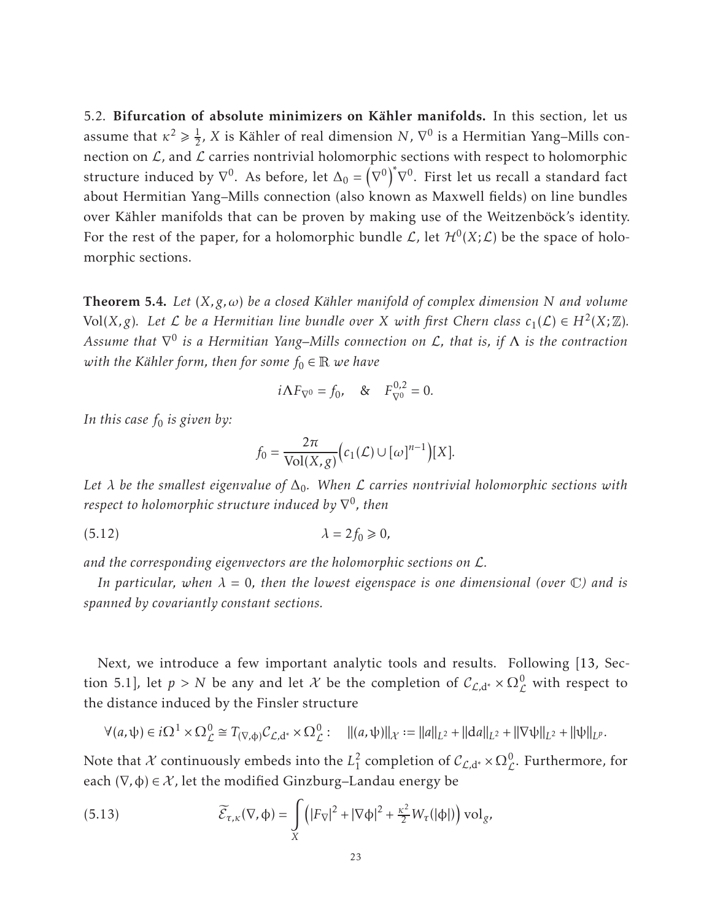<span id="page-22-1"></span>5.2. Bifurcation of absolute minimizers on Kähler manifolds. In this section, let us assume that  $\kappa^2 \geq \frac{1}{2}$  $\frac{1}{2}$ , *X* is Kähler of real dimension *N*,  $\nabla^0$  is a Hermitian Yang–Mills connection on  $\mathcal{L}$ , and  $\mathcal{L}$  carries nontrivial holomorphic sections with respect to holomorphic structure induced by  $\nabla^0$ . As before, let  $\Delta_0 = \left(\begin{array}{ccc} 0 & 0 & 0\\ 0 & 0 & 0\\ 0 & 0 & 0\\ 0 & 0 & 0 \end{array}\right)$  $\nabla^0\Big)^*$  $\nabla^0$ . First let us recall a standard fact about Hermitian Yang–Mills connection (also known as Maxwell fields) on line bundles over Kähler manifolds that can be proven by making use of the Weitzenböck's identity. For the rest of the paper, for a holomorphic bundle  $\mathcal{L}$ , let  $\mathcal{H}^{0}(X;\mathcal{L})$  be the space of holomorphic sections.

**Theorem 5.4.** *Let*  $(X, g, \omega)$  *be a closed Kähler manifold of complex dimension N and volume* Vol $(X, g)$ *. Let*  $\mathcal L$  *be a Hermitian line bundle over*  $X$  *with first Chern class*  $c_1(\mathcal L) \in H^2(X; \mathbb Z)$ *. Assume that* ∇ 0 *is a Hermitian Yang–Mills connection on* <sup>L</sup>*, that is, if* <sup>Λ</sup> *is the contraction with the Kähler form, then for some*  $f_0 \in \mathbb{R}$  *we have* 

$$
i\Lambda F_{\nabla^0} = f_0
$$
, &  $F_{\nabla^0}^{0,2} = 0$ .

*In this case f*<sup>0</sup> *is given by:*

<span id="page-22-2"></span>
$$
f_0 = \frac{2\pi}{\text{Vol}(X,g)} \big( c_1(\mathcal{L}) \cup [\omega]^{n-1} \big) [X].
$$

Let  $\lambda$  be the smallest eigenvalue of  $\Delta_0$ . When  $\mathcal L$  carries nontrivial holomorphic sections with *respect to holomorphic structure induced by* ∇ 0 *, then*

$$
\lambda = 2f_0 \geq 0,
$$

*and the corresponding eigenvectors are the holomorphic sections on* L*.*

*In particular, when*  $\lambda = 0$ , then the lowest eigenspace is one dimensional (over  $\mathbb{C}$ ) and is *spanned by covariantly constant sections.*

Next, we introduce a few important analytic tools and results. Following [\[13,](#page-29-14) Section 5.1], let  $p > N$  be any and let X be the completion of  $C_{\mathcal{L},d^*} \times \Omega_{\mathcal{L}}^0$  with respect to the distance induced by the Finsler structure

$$
\forall (a,\psi) \in i\Omega^1 \times \Omega^0_{\mathcal{L}} \cong T_{(\nabla,\phi)}\mathcal{C}_{\mathcal{L},d^*} \times \Omega^0_{\mathcal{L}}: \quad \|(a,\psi)\|_{\mathcal{X}} := \|a\|_{L^2} + \|da\|_{L^2} + \|\nabla\psi\|_{L^2} + \|\psi\|_{L^p}.
$$

Note that  $\mathcal X$  continuously embeds into the  $L^2_1$  $\frac{2}{1}$  completion of  $\mathcal{C}_{\mathcal{L},d^*} \times \Omega_{\mathcal{L}}^0$ . Furthermore, for each  $(\nabla, \phi) \in \mathcal{X}$ , let the modified Ginzburg–Landau energy be

<span id="page-22-0"></span>(5.13) 
$$
\widetilde{\mathcal{E}}_{\tau,\kappa}(\nabla,\varphi)=\int\limits_X \left(|F_{\nabla}|^2+|\nabla\varphi|^2+\frac{\kappa^2}{2}W_{\tau}(|\varphi|)\right)\mathrm{vol}_g,
$$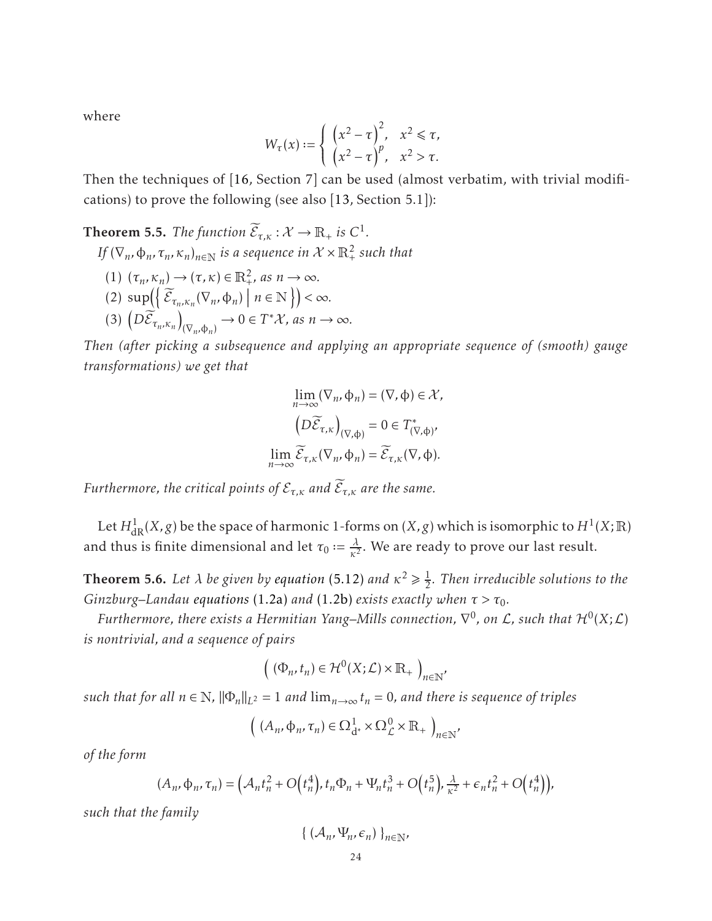where

$$
W_{\tau}(x) := \begin{cases} \left(x^2 - \tau\right)^2, & x^2 \leq \tau, \\ \left(x^2 - \tau\right)^p, & x^2 > \tau. \end{cases}
$$

<span id="page-23-1"></span>Then the techniques of [\[16,](#page-29-2) Section 7] can be used (almost verbatim, with trivial modifications) to prove the following (see also [\[13,](#page-29-14) Section 5.1]):

**Theorem 5.5.** *The function*  $\widetilde{\mathcal{E}}_{\tau,\kappa} : \mathcal{X} \to \mathbb{R}_+$  *is*  $C^1$ *.* 

*If*  $(\nabla_n, \varphi_n, \tau_n, \kappa_n)_{n \in \mathbb{N}}$  *is a sequence in*  $\mathcal{X} \times \mathbb{R}_+^2$  *such that* 

- $(1)$   $(\tau_n, \kappa_n) \to (\tau, \kappa) \in \mathbb{R}^2_+$ , as  $n \to \infty$ .
- $(2) \sup\left(\left\{\widetilde{\mathcal{E}}_{\tau_n,\kappa_n}(\nabla_n,\varphi_n)\,\,\big|\,n\in\mathbb{N}\right.\right\}\right)<\infty.$
- (3)  $(D\widetilde{\mathcal{E}}_{\tau_n,\kappa_n})$  $(\nabla_n, \phi_n) \to 0 \in T^* \mathcal{X}$ , as  $n \to \infty$ .

*Then (after picking a subsequence and applying an appropriate sequence of (smooth) gauge transformations) we get that*

$$
\lim_{n \to \infty} (\nabla_n, \phi_n) = (\nabla, \phi) \in \mathcal{X},
$$

$$
\left( D \widetilde{\mathcal{E}}_{\tau,\kappa} \right)_{(\nabla,\phi)} = 0 \in T^*_{(\nabla,\phi)},
$$

$$
\lim_{n \to \infty} \widetilde{\mathcal{E}}_{\tau,\kappa} (\nabla_n, \phi_n) = \widetilde{\mathcal{E}}_{\tau,\kappa} (\nabla, \phi).
$$

*Furthermore, the critical points of*  $\mathcal{E}_{\tau,\kappa}$  *and*  $\widetilde{\mathcal{E}}_{\tau,\kappa}$  *are the same.* 

<span id="page-23-0"></span>Let  $H^1_{\rm dR}(X,g)$  be the space of harmonic 1-forms on  $(X,g)$  which is isomorphic to  $H^1(X;\mathbb{R})$ and thus is finite dimensional and let  $\tau_0 := \frac{\lambda}{\kappa^2}$  $\frac{\lambda}{\kappa^2}$ . We are ready to prove our last result.

**Theorem 5.6.** Let  $\lambda$  be given by [equation](#page-22-2) (5.12) and  $\kappa^2 \geq \frac{1}{2}$ 2 *. Then irreducible solutions to the Ginzburg–Landau [equations](#page-1-2)* (1.2a) *and* [\(1.2b\)](#page-1-3) *exists exactly when*  $\tau > \tau_0$ *.* 

Furthermore, there exists a Hermitian Yang–Mills connection,  $\nabla^0$ , on  ${\cal L}$ , such that  ${\cal H}^0(X;{\cal L})$ *is nontrivial, and a sequence of pairs*

$$
\left( (\Phi_n, t_n) \in \mathcal{H}^0(X; \mathcal{L}) \times \mathbb{R}_+ \right)_{n \in \mathbb{N}'}
$$

*such that for all*  $n \in \mathbb{N}$ ,  $\|\Phi_n\|_{L^2} = 1$  *and*  $\lim_{n \to \infty} t_n = 0$ , *and there is sequence of triples* 

$$
\left( (A_n, \Phi_n, \tau_n) \in \Omega^1_{\mathrm{d}^*} \times \Omega^0_{\mathcal{L}} \times \mathbb{R}_+ \right)_{n \in \mathbb{N}'}
$$

*of the form*

$$
(A_n, \Phi_n, \tau_n) = \left(\mathcal{A}_n t_n^2 + O\left(t_n^4\right), t_n \Phi_n + \Psi_n t_n^3 + O\left(t_n^5\right), \frac{\lambda}{\kappa^2} + \epsilon_n t_n^2 + O\left(t_n^4\right)\right),
$$

*such that the family*

$$
\left\{\,\left(\mathcal{A}_n, \Psi_n, \epsilon_n\right)\,\right\}_{n \in \mathbb{N}},
$$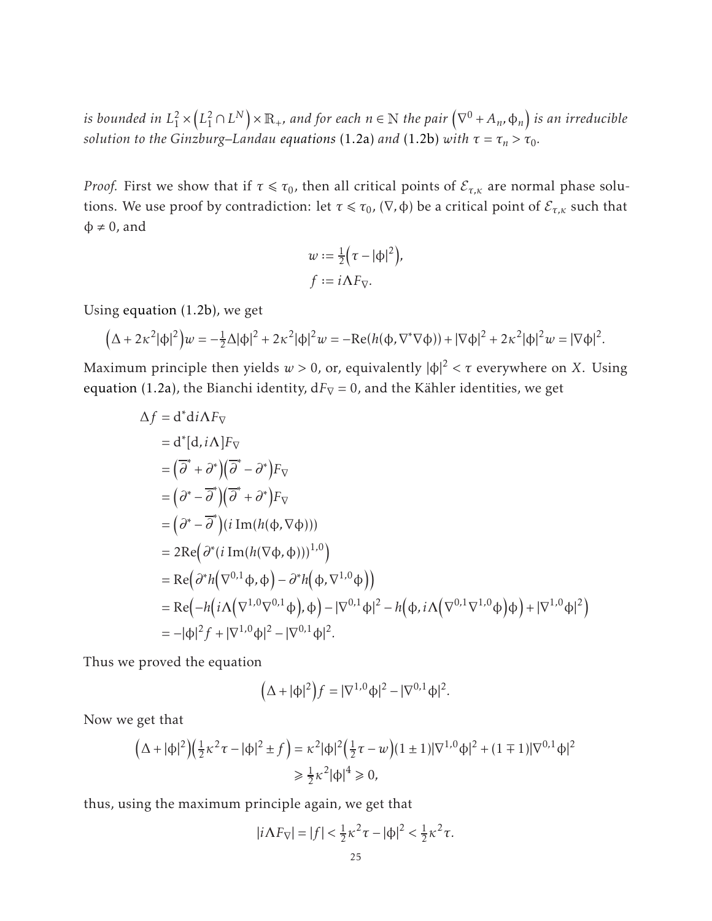*is bounded in L* 2  $\frac{1}{1}$   $\times$  $\left(L_1^2 \cap L^N \right) \times \mathbb{R}_+$ *, and for each*  $n \in \mathbb{N}$  the pair  $\left(\nabla^0 + A_n, \varphi_n \right)$  is an irreducible *solution to the Ginzburg–Landau [equations](#page-1-2)* (1.2a) *and* [\(1.2b\)](#page-1-3) *with*  $\tau = \tau_n > \tau_0$ .

*Proof.* First we show that if  $\tau \le \tau_0$ , then all critical points of  $\mathcal{E}_{\tau,\kappa}$  are normal phase solutions. We use proof by contradiction: let  $\tau \leq \tau_0$ , ( $\nabla$ ,  $\phi$ ) be a critical point of  $\mathcal{E}_{\tau,\kappa}$  such that  $\varphi \neq 0$ , and

$$
w := \frac{1}{2} (\tau - |\phi|^2),
$$
  

$$
f := i\Lambda F_{\nabla}.
$$

Using [equation \(1.2b\),](#page-1-3) we get

$$
(\Delta + 2\kappa^2|\phi|^2)w = -\frac{1}{2}\Delta|\phi|^2 + 2\kappa^2|\phi|^2w = -\text{Re}(h(\phi, \nabla^*\nabla\phi)) + |\nabla\phi|^2 + 2\kappa^2|\phi|^2w = |\nabla\phi|^2.
$$

Maximum principle then yields  $w > 0$ , or, equivalently  $|\phi|^2 < \tau$  everywhere on *X*. Using [equation \(1.2a\),](#page-1-2) the Bianchi identity,  $dF<sub>V</sub> = 0$ , and the Kähler identities, we get

$$
\Delta f = d^* d i \Lambda F_{\nabla}
$$
\n
$$
= d^* [d, i\Lambda] F_{\nabla}
$$
\n
$$
= (\overline{\partial}^* + \partial^*) (\overline{\partial}^* - \partial^*) F_{\nabla}
$$
\n
$$
= (\partial^* - \overline{\partial}^*) (\overline{\partial}^* + \partial^*) F_{\nabla}
$$
\n
$$
= (\partial^* - \overline{\partial}^*) (i \operatorname{Im} (h(\varphi, \nabla \varphi)))
$$
\n
$$
= 2 \operatorname{Re} (\partial^* (i \operatorname{Im} (h(\nabla \varphi, \varphi)))^{1,0})
$$
\n
$$
= \operatorname{Re} (\partial^* h(\nabla^{0,1} \varphi, \varphi) - \partial^* h(\varphi, \nabla^{1,0} \varphi))
$$
\n
$$
= \operatorname{Re} (-h(i\Lambda (\nabla^{1,0} \nabla^{0,1} \varphi), \varphi) - |\nabla^{0,1} \varphi|^2 - h(\varphi, i\Lambda (\nabla^{0,1} \nabla^{1,0} \varphi) \varphi) + |\nabla^{1,0} \varphi|^2)
$$
\n
$$
= -|\varphi|^2 f + |\nabla^{1,0} \varphi|^2 - |\nabla^{0,1} \varphi|^2.
$$

Thus we proved the equation

$$
(\Delta + |\phi|^2) f = |\nabla^{1,0} \phi|^2 - |\nabla^{0,1} \phi|^2.
$$

Now we get that

$$
(\Delta + |\phi|^2)(\frac{1}{2}\kappa^2 \tau - |\phi|^2 \pm f) = \kappa^2 |\phi|^2 (\frac{1}{2}\tau - w)(1 \pm 1)|\nabla^{1,0}\phi|^2 + (1 \mp 1)|\nabla^{0,1}\phi|^2
$$
  
\n
$$
\geq \frac{1}{2}\kappa^2 |\phi|^4 \geq 0,
$$

thus, using the maximum principle again, we get that

$$
|i\Lambda F_{\nabla}|=|f|<\frac{1}{2}\kappa^2\tau-|\varphi|^2<\frac{1}{2}\kappa^2\tau.
$$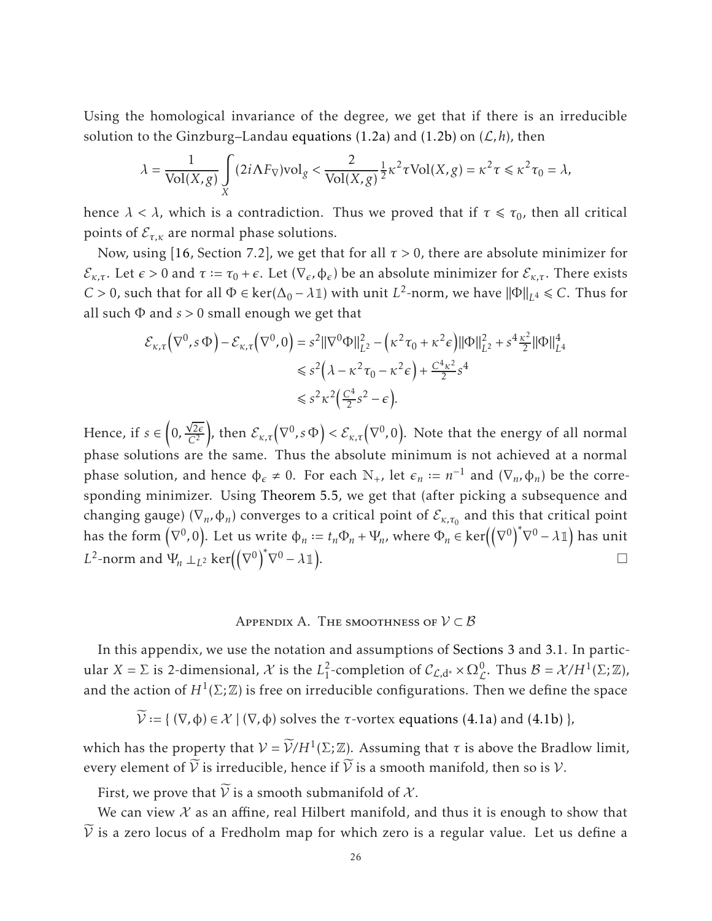Using the homological invariance of the degree, we get that if there is an irreducible solution to the Ginzburg–Landau equations  $(1.2a)$  and  $(1.2b)$  on  $(\mathcal{L}, h)$ , then

$$
\lambda = \frac{1}{\text{Vol}(X,g)} \int\limits_X (2i\Lambda F_\nabla) \text{vol}_g < \frac{2}{\text{Vol}(X,g)} \frac{1}{2} \kappa^2 \tau \text{Vol}(X,g) = \kappa^2 \tau \leq \kappa^2 \tau_0 = \lambda,
$$

hence  $\lambda < \lambda$ , which is a contradiction. Thus we proved that if  $\tau \le \tau_0$ , then all critical points of  $\mathcal{E}_{\tau,\kappa}$  are normal phase solutions.

Now, using [\[16,](#page-29-2) Section 7.2], we get that for all  $\tau > 0$ , there are absolute minimizer for  $\mathcal{E}_{\kappa,\tau}$ . Let *ε* > 0 and *τ* := *τ*<sub>0</sub> + *ε*. Let (∇<sub>*ε*</sub>,  $\phi$ *<sub>ε</sub>*) be an absolute minimizer for  $\mathcal{E}_{\kappa,\tau}$ . There exists *C* > 0, such that for all  $\Phi$  ∈ ker( $\Delta_0 - \lambda$ 1) with unit *L*<sup>2</sup>-norm, we have  $\|\Phi\|_{L^4}$  ≤ *C*. Thus for all such Φ and *s >* 0 small enough we get that

$$
\mathcal{E}_{\kappa,\tau}(\nabla^0, s \Phi) - \mathcal{E}_{\kappa,\tau}(\nabla^0, 0) = s^2 \|\nabla^0 \Phi\|_{L^2}^2 - \left(\kappa^2 \tau_0 + \kappa^2 \epsilon\right) \|\Phi\|_{L^2}^2 + s^4 \frac{\kappa^2}{2} \|\Phi\|_{L^4}^4
$$
  
\$\leq s^2 \left(\lambda - \kappa^2 \tau\_0 - \kappa^2 \epsilon\right) + \frac{C^4 \kappa^2}{2} s^4\$  
\$\leq s^2 \kappa^2 \left(\frac{C^4}{2} s^2 - \epsilon\right).

Hence, if *s* ∈  $\overline{1}$  $0, \frac{\sqrt{2\epsilon}}{C^2}$ *C*<sup>2</sup> ), then  $\mathcal{E}_{\kappa,\tau}(\nabla^0,s\,\Phi) < \mathcal{E}_{\kappa,\tau}(\nabla^0,0)$ . Note that the energy of all normal phase solutions are the same. Thus the absolute minimum is not achieved at a normal phase solution, and hence  $\phi_{\epsilon} \neq 0$ . For each  $\mathbb{N}_{+}$ , let  $\epsilon_{n} := n^{-1}$  and  $(\nabla_{n}, \phi_{n})$  be the corresponding minimizer. Using [Theorem 5.5,](#page-23-1) we get that (after picking a subsequence and changing gauge) ( $\nabla_n$ ,  $\phi_n$ ) converges to a critical point of  $\mathcal{E}_{\kappa,\tau_0}$  and this that critical point has the form  $(\nabla^0, 0)$ . Let us write  $\phi_n := t_n \Phi_n + \Psi_n$ , where  $\Phi_n \in \text{ker}((\nabla^0)^*$  $\nabla^0 - \lambda \mathbb{1}$ ) has unit *L*<sup>2</sup>-norm and  $\Psi_n \perp_{L^2} \ker((\nabla^0)^*$  $\nabla^0 - \lambda \mathbb{1}$ . В последните поставите на селото на селото на селото на селото на селото на селото на селото на селото на се<br>Селото на селото на селото на селото на селото на селото на селото на селото на селото на селото на селото на

# APPENDIX A. THE SMOOTHNESS OF  $V \subset B$

<span id="page-25-0"></span>In this appendix, we use the notation and assumptions of [Sections 3](#page-4-1) and [3.1.](#page-5-0) In particular *X* =  $\Sigma$  is 2-dimensional, *X* is the  $L_1^2$  $^2_1$ -completion of  $\mathcal{C}_{\mathcal{L},d^*} \times \Omega_{\mathcal{L}}^0$ . Thus  $\mathcal{B} = \mathcal{X}/H^1(\Sigma;\mathbb{Z})$ , and the action of  $H^1(\Sigma;\mathbb{Z})$  is free on irreducible configurations. Then we define the space

$$
\widetilde{\mathcal{V}} := \{ (\nabla, \varphi) \in \mathcal{X} \mid (\nabla, \varphi) \text{ solves the } \tau\text{-vortex equations (4.1a) and (4.1b) } \},
$$

which has the property that  $V = \widetilde{V}/H^1(\Sigma;\mathbb{Z})$ . Assuming that  $\tau$  is above the Bradlow limit, every element of  $\widetilde{V}$  is irreducible, hence if  $\widetilde{V}$  is a smooth manifold, then so is  $V$ .

First, we prove that  $\widetilde{V}$  is a smooth submanifold of  $\mathcal{X}$ .

We can view  $\mathcal X$  as an affine, real Hilbert manifold, and thus it is enough to show that  $\widetilde{V}$  is a zero locus of a Fredholm map for which zero is a regular value. Let us define a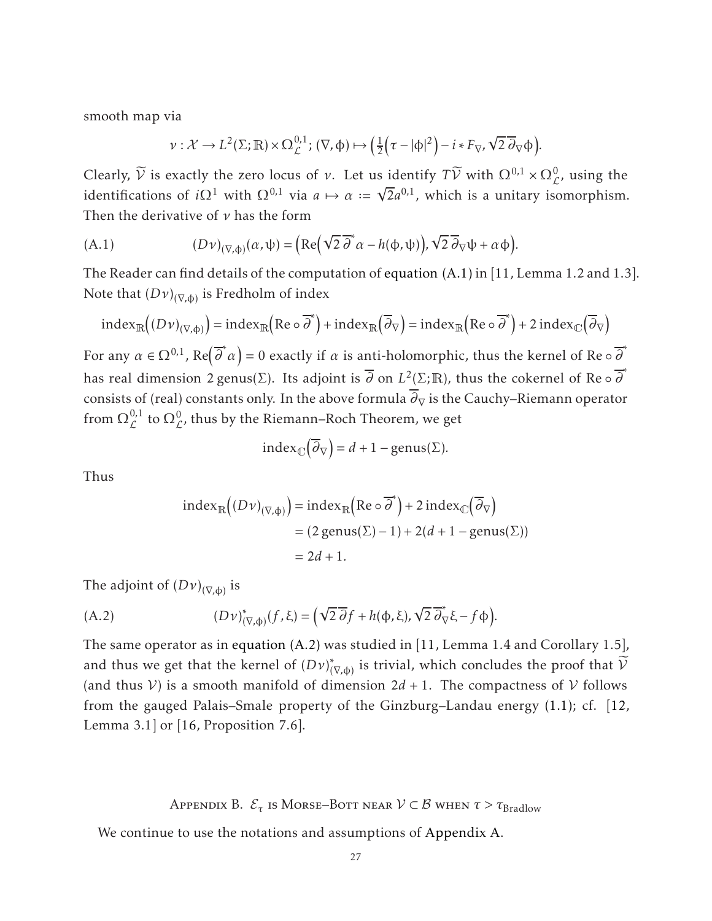smooth map via

<span id="page-26-1"></span>
$$
\nu: \mathcal{X} \to L^2(\Sigma; \mathbb{R}) \times \Omega_{\mathcal{L}}^{0,1}; (\nabla, \phi) \mapsto \left(\frac{1}{2} \left(\tau - |\phi|^2\right) - i * F_{\nabla}, \sqrt{2} \overline{\partial}_{\nabla} \phi\right).
$$

Clearly,  $\widetilde{V}$  is exactly the zero locus of *ν*. Let us identify  $T\widetilde{V}$  with  $\Omega^{0,1} \times \Omega^0_{\mathcal{L}}$ , using the identifications of *i* $\Omega^1$  with  $\Omega^{0,1}$  via  $a \mapsto a := \sqrt{2}a^{0,1}$ , which is a unitary isomorphism. Then the derivative of *ν* has the form

(A.1) 
$$
(D\nu)_{(\nabla,\phi)}(\alpha,\psi) = \left( \text{Re}\left( \sqrt{2} \overline{\partial}^* \alpha - h(\phi,\psi) \right), \sqrt{2} \overline{\partial}_{\nabla} \psi + \alpha \phi \right).
$$

The Reader can find details of the computation of [equation \(A.1\)](#page-26-1) in [\[11,](#page-29-17) Lemma 1.2 and 1.3]. Note that  $\left(D\nu\right)_{(\nabla,\varphi)}$  is Fredholm of index

$$
index_{\mathbb{R}}((Dv)_{(\nabla,\phi)}) = index_{\mathbb{R}}(Re \circ \overline{\partial}^*) + index_{\mathbb{R}}(\overline{\partial}_{\nabla}) = index_{\mathbb{R}}(Re \circ \overline{\partial}^*) + 2 index_{\mathbb{C}}(\overline{\partial}_{\nabla})
$$

For any  $\alpha \in \Omega^{0,1}$ , Re $(\overline{\partial}^*\alpha)=0$  exactly if  $\alpha$  is anti-holomorphic, thus the kernel of Re  $\circ \overline{\partial}^*$ has real dimension 2 genus(∑). Its adjoint is  $\overline{\partial}$  on  $L^2(\Sigma; \mathbb{R})$ , thus the cokernel of Re  $\circ \overline{\partial}^*$ consists of (real) constants only. In the above formula  $\overline{\partial}_{\nabla}$  is the Cauchy–Riemann operator from  $\Omega^{0,1}_f$  $\mathcal{L}^{0,1}$  to  $\Omega_{\mathcal{L}}^{0}$ , thus by the Riemann–Roch Theorem, we get

$$
index_{\mathbb{C}}(\overline{\partial}_{\nabla}) = d + 1 - genus(\Sigma).
$$

Thus

<span id="page-26-2"></span>
$$
\begin{aligned} \text{index}_{\mathbb{R}} \Big( (Dv)_{(\nabla, \Phi)} \Big) &= \text{index}_{\mathbb{R}} \Big( \text{Re} \circ \overline{\partial}^* \Big) + 2 \, \text{index}_{\mathbb{C}} \Big( \overline{\partial}_{\nabla} \Big) \\ &= (2 \, \text{genus}(\Sigma) - 1) + 2(d + 1 - \text{genus}(\Sigma)) \\ &= 2d + 1. \end{aligned}
$$

The adjoint of  $(D\nu)_{(\nabla,\phi)}$  is

(A.2) 
$$
(Dv)_{(\nabla,\phi)}^*(f,\xi) = \left(\sqrt{2}\,\overline{\partial} f + h(\phi,\xi), \sqrt{2}\,\overline{\partial}_\nabla^* \xi - f\,\phi\right).
$$

The same operator as in [equation \(A.2\)](#page-26-2) was studied in [\[11,](#page-29-17) Lemma 1.4 and Corollary 1.5], and thus we get that the kernel of  $(D\nu)^{*}_{(\nabla,\varphi)}$  is trivial, which concludes the proof that  ${\cal V}$ (and thus  $V$ ) is a smooth manifold of dimension  $2d + 1$ . The compactness of V follows from the gauged Palais–Smale property of the Ginzburg–Landau energy [\(1.1\);](#page-1-0) cf. [\[12,](#page-29-1) Lemma 3.1] or [\[16,](#page-29-2) Proposition 7.6].

Appendix B.  $\mathcal{E}_{\tau}$  is Morse–Bott near  $\mathcal{V} \subset \mathcal{B}$  when  $\tau > \tau_{\text{Bradlow}}$ 

<span id="page-26-0"></span>We continue to use the notations and assumptions of [Appendix A.](#page-25-0)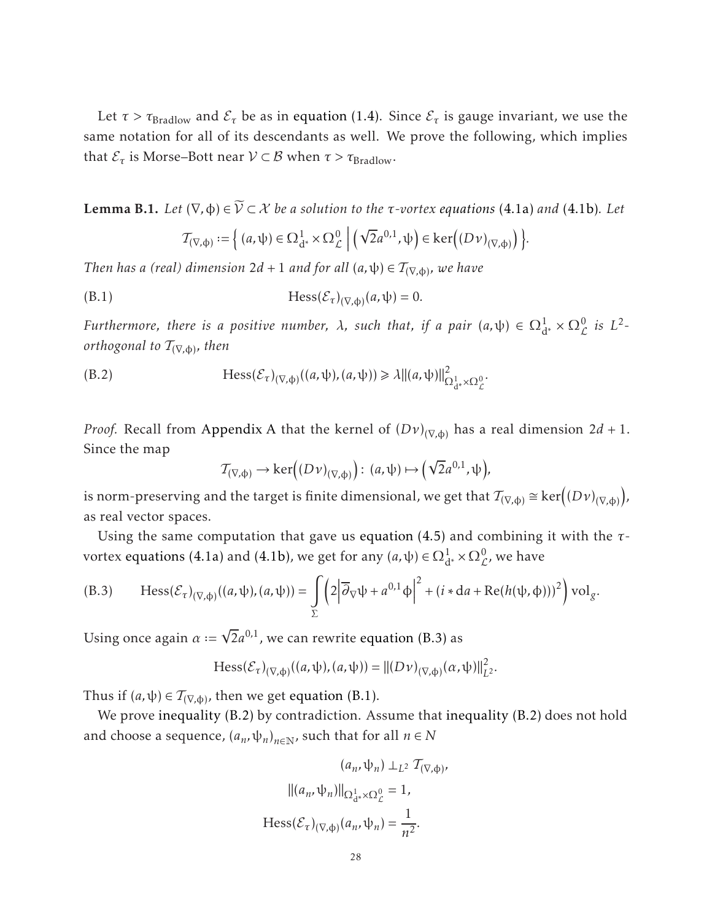Let  $\tau > \tau_{\rm{Bradlow}}$  and  $\mathcal{E}_{\tau}$  be as in [equation \(1.4\).](#page-2-3) Since  $\mathcal{E}_{\tau}$  is gauge invariant, we use the same notation for all of its descendants as well. We prove the following, which implies that  $\mathcal{E}_{\tau}$  is Morse–Bott near  $\mathcal{V} \subset \mathcal{B}$  when  $\tau > \tau_{\text{Bradlow}}$ .

**Lemma B.1.** *Let*  $(∇, φ) ∈ ∇ ⊂ X$  *be a solution to the τ-vortex [equations](#page-12-1)* (4.1a) *and* [\(4.1b\)](#page-12-2)*. Let* 

<span id="page-27-1"></span>
$$
\mathcal{T}_{(\nabla,\varphi)} := \Big\{ (a,\psi) \in \Omega^1_{d^*} \times \Omega^0_{\mathcal{L}} \mid \left( \sqrt{2} a^{0,1}, \psi \right) \in \ker \Big( (D\nu)_{(\nabla,\varphi)} \Big) \Big\}.
$$

*Then has a (real) dimension 2d* + 1 *and for all*  $(a, \psi) \in T_{(\nabla, \phi)}$ , we have

(B.1) 
$$
Hess(\mathcal{E}_{\tau})_{(\nabla,\phi)}(a,\psi)=0.
$$

*Furthermore, there is a positive number,*  $\lambda$ , such that, if a pair  $(a, \psi) \in \Omega_{d^*}^1 \times \Omega_{\mathcal{L}}^0$  is  $L^2$ *orthogonal to* T(∇*,*φ) *, then*

(B.2) 
$$
\text{Hess}(\mathcal{E}_{\tau})_{(\nabla,\phi)}((a,\psi),(a,\psi)) \geq \lambda ||(a,\psi)||^2_{\Omega^1_{d^*} \times \Omega^0_{\mathcal{L}}}.
$$

*Proof.* Recall from [Appendix A](#page-25-0) that the kernel of  $(D\nu)_{(\nabla,\varphi)}$  has a real dimension 2*d* + 1. Since the map

<span id="page-27-2"></span>
$$
\mathcal{T}_{(\nabla,\Phi)} \to \ker((D\nu)_{(\nabla,\Phi)}): (a,\psi) \mapsto (\sqrt{2}a^{0,1},\psi),
$$

is norm-preserving and the target is finite dimensional, we get that  $\mathcal{T}_{(\nabla,\phi)} \cong \ker \bigl((D\nu)_{(\nabla,\phi)}$  , as real vector spaces.

Using the same computation that gave us [equation \(4.5\)](#page-15-1) and combining it with the *τ*vortex [equations \(4.1a\)](#page-12-1) and [\(4.1b\),](#page-12-2) we get for any  $(a, \psi) \in \Omega^1_{d^*} \times \Omega^0_{\mathcal{L}}$ , we have

<span id="page-27-0"></span>(B.3) Hess
$$
(\mathcal{E}_{\tau})_{(\nabla,\phi)}((a,\psi),(a,\psi)) = \int_{\Sigma} \left(2\left|\overline{\partial}_{\nabla}\psi + a^{0,1}\phi\right|^2 + (i \ast da + \text{Re}(h(\psi,\phi)))^2\right) \text{vol}_g.
$$

Using once again  $\alpha := \sqrt{2}a^{0,1}$ , we can rewrite [equation \(B.3\)](#page-27-0) as

$$
\text{Hess}(\mathcal{E}_{\tau})_{(\nabla,\Phi)}((a,\psi),(a,\psi)) = ||(D\nu)_{(\nabla,\Phi)}(a,\psi)||_{L^2}^2.
$$

Thus if  $(a, \psi) \in T_{(\nabla, \phi)}$ , then we get [equation \(B.1\).](#page-27-1)

We prove [inequality \(B.2\)](#page-27-2) by contradiction. Assume that [inequality \(B.2\)](#page-27-2) does not hold and choose a sequence,  $(a_n, \psi_n)_{n \in \mathbb{N}}$ , such that for all  $n \in \mathbb{N}$ 

$$
(a_n, \psi_n) \perp_{L^2} T_{(\nabla, \phi)},
$$

$$
||(a_n, \psi_n)||_{\Omega_{d^*}^1 \times \Omega_{\mathcal{L}}^0} = 1,
$$

$$
\text{Hess}(\mathcal{E}_{\tau})_{(\nabla, \phi)}(a_n, \psi_n) = \frac{1}{n^2}.
$$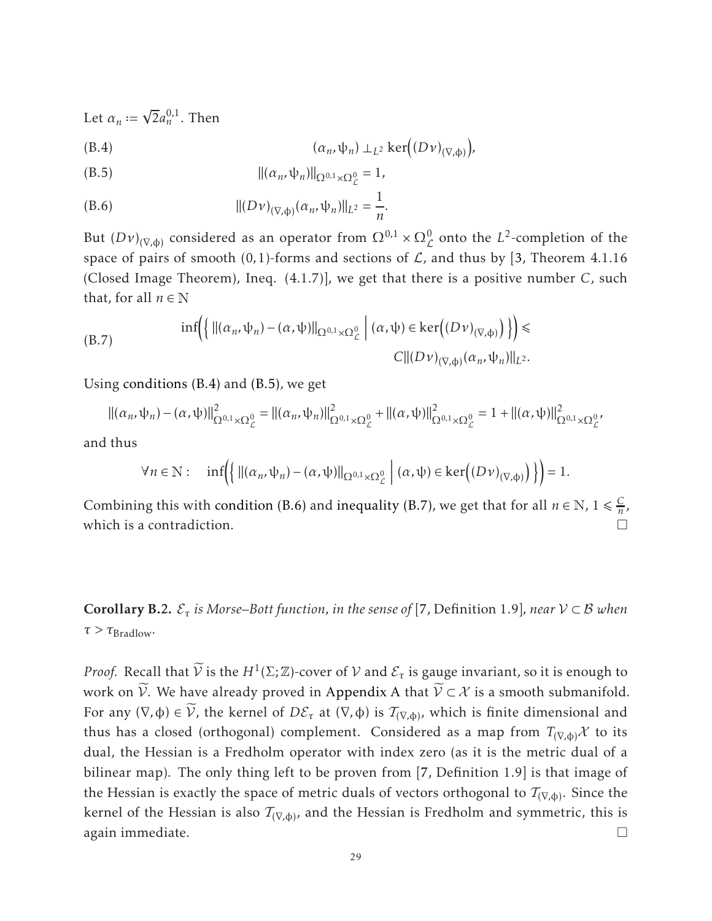Let  $\alpha_n := \sqrt{2} a_n^{0,1}$ . Then

<span id="page-28-1"></span>
$$
(B.4) \qquad (\alpha_n, \psi_n) \perp_{L^2} \ker((D\nu)_{(\nabla, \Phi)})
$$

<span id="page-28-2"></span>
$$
||( \alpha_n, \psi_n ) ||_{\Omega^{0,1} \times \Omega^0_{\mathcal{L}}} = 1,
$$

<span id="page-28-3"></span>(B.6) 
$$
||(D\nu)_{(\nabla,\phi)}(\alpha_n,\psi_n)||_{L^2}=\frac{1}{n}.
$$

But  $(Dv)_{(\nabla,\phi)}$  considered as an operator from  $\Omega^{0,1} \times \Omega^0_{\mathcal{L}}$  onto the  $L^2$ -completion of the L space of pairs of smooth  $(0,1)$ -forms and sections of  $\mathcal{L}$ , and thus by [\[3,](#page-29-15) Theorem 4.1.16 (Closed Image Theorem), Ineq. (4.1.7)], we get that there is a positive number *C*, such that, for all  $n \in \mathbb{N}$ 

<span id="page-28-4"></span>(B.7) 
$$
\inf \left( \left\{ ||(\alpha_n, \psi_n) - (\alpha, \psi)||_{\Omega^{0,1} \times \Omega^0_{\mathcal{L}}}\right| (\alpha, \psi) \in \ker((D\nu)_{(\nabla, \phi)}) \right\} \right) \leq C ||(D\nu)_{(\nabla, \phi)}(\alpha_n, \psi_n)||_{L^2}.
$$

Using [conditions \(B.4\)](#page-28-1) and [\(B.5\),](#page-28-2) we get

$$
\|(\alpha_n, \psi_n) - (\alpha, \psi)\|_{\Omega^{0,1} \times \Omega^0_{\mathcal{L}}}^2 = \|(\alpha_n, \psi_n)\|_{\Omega^{0,1} \times \Omega^0_{\mathcal{L}}}^2 + \|(\alpha, \psi)\|_{\Omega^{0,1} \times \Omega^0_{\mathcal{L}}}^2 = 1 + \|(\alpha, \psi)\|_{\Omega^{0,1} \times \Omega^0_{\mathcal{L}}}^2
$$

and thus

$$
\forall n \in \mathbb{N}: \quad \inf \Biggl( \biggl\{ \bigl\| (\alpha_n, \psi_n) - (\alpha, \psi) \bigr\|_{\Omega^{0,1} \times \Omega^0_{\mathcal{L}}} \bigm| (\alpha, \psi) \in \ker \Bigl( (D\nu)_{(\nabla, \varphi)} \Bigr) \biggr\} \Biggr) = 1.
$$

Combining this with [condition \(B.6\)](#page-28-3) and [inequality \(B.7\),](#page-28-4) we get that for all  $n \in \mathbb{N}$ ,  $1 \leq \frac{C}{n}$  $\frac{C}{n}$ , which is a contradiction.

<span id="page-28-0"></span>**Corollary B.2.**  $\mathcal{E}_{\tau}$  is Morse–Bott function, in the sense of [\[7,](#page-29-11) Definition 1.9], near  $\mathcal{V} \subset \mathcal{B}$  when  $\tau > \tau_{\text{Bradlow}}$ .

*Proof.* Recall that  $\widetilde{V}$  is the  $H^1(\Sigma;\mathbb{Z})$ -cover of  $V$  and  $\mathcal{E}_{\tau}$  is gauge invariant, so it is enough to work on  $\widetilde{V}$ . We have already proved in [Appendix A](#page-25-0) that  $\widetilde{V} \subset \mathcal{X}$  is a smooth submanifold. For any  $(\nabla, \phi) \in \mathcal{V}$ , the kernel of  $D\mathcal{E}_{\tau}$  at  $(\nabla, \phi)$  is  $\mathcal{T}_{(\nabla, \phi)}$ , which is finite dimensional and thus has a closed (orthogonal) complement. Considered as a map from  $T_{(\nabla,\phi)}\mathcal{X}$  to its dual, the Hessian is a Fredholm operator with index zero (as it is the metric dual of a bilinear map). The only thing left to be proven from [\[7,](#page-29-11) Definition 1.9] is that image of the Hessian is exactly the space of metric duals of vectors orthogonal to  $\mathcal{T}_{(\nabla,\varphi)}.$  Since the kernel of the Hessian is also  $\mathcal{T}_{(\nabla,\varphi)}$ , and the Hessian is Fredholm and symmetric, this is again immediate.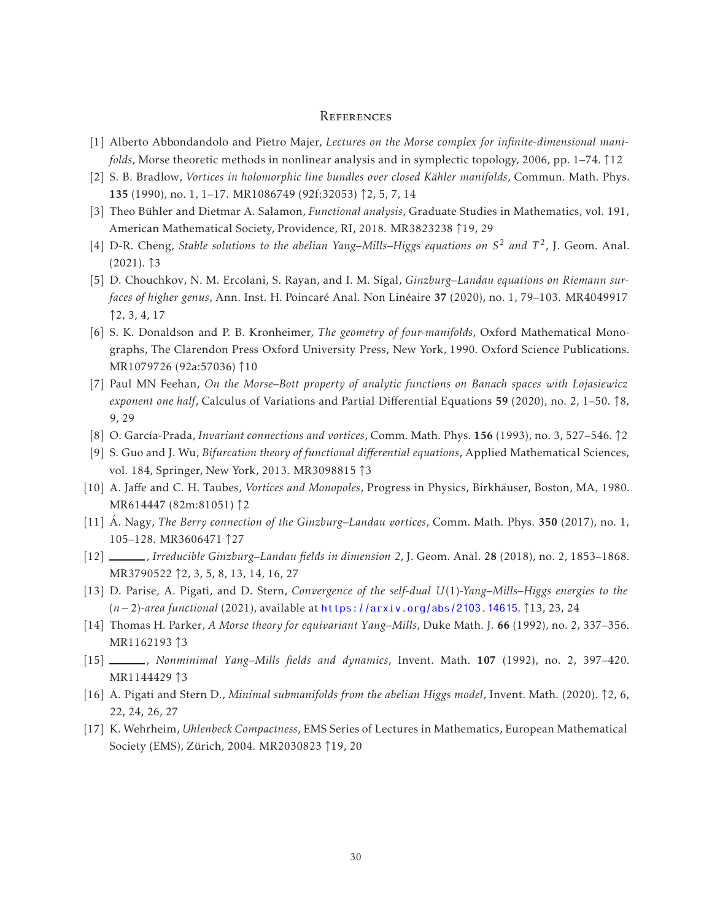#### <span id="page-29-0"></span>**REFERENCES**

- <span id="page-29-13"></span>[1] Alberto Abbondandolo and Pietro Majer, *Lectures on the Morse complex for infinite-dimensional manifolds*, Morse theoretic methods in nonlinear analysis and in symplectic topology, 2006, pp. 1–74. ↑12
- <span id="page-29-3"></span>[2] S. B. Bradlow, *Vortices in holomorphic line bundles over closed Kähler manifolds*, Commun. Math. Phys. 135 (1990), no. 1, 1–17. MR1086749 (92f:32053) ↑2, 5, 7, 14
- <span id="page-29-15"></span>[3] Theo Bühler and Dietmar A. Salamon, *Functional analysis*, Graduate Studies in Mathematics, vol. 191, American Mathematical Society, Providence, RI, 2018. MR3823238 ↑19, 29
- <span id="page-29-9"></span>[4] D-R. Cheng, *Stable solutions to the abelian Yang–Mills–Higgs equations on S* <sup>2</sup> *and T* 2 , J. Geom. Anal.  $(2021)$ .  $\uparrow$ 3
- <span id="page-29-6"></span>[5] D. Chouchkov, N. M. Ercolani, S. Rayan, and I. M. Sigal, *Ginzburg–Landau equations on Riemann surfaces of higher genus, Ann. Inst. H. Poincaré Anal. Non Linéaire 37 (2020), no. 1, 79–103. MR4049917* ↑2, 3, 4, 17
- <span id="page-29-12"></span>[6] S. K. Donaldson and P. B. Kronheimer, *The geometry of four-manifolds*, Oxford Mathematical Monographs, The Clarendon Press Oxford University Press, New York, 1990. Oxford Science Publications. MR1079726 (92a:57036) ↑10
- <span id="page-29-11"></span>[7] Paul MN Feehan, *On the Morse–Bott property of analytic functions on Banach spaces with Łojasiewicz exponent one half*, Calculus of Variations and Partial Differential Equations <sup>59</sup> (2020), no. 2, 1–50. <sup>↑</sup>8, 9, 29
- <span id="page-29-4"></span>[8] O. Garc´ıa-Prada, *Invariant connections and vortices*, Comm. Math. Phys. 156 (1993), no. 3, 527–546. ↑2
- <span id="page-29-10"></span>[9] S. Guo and J. Wu, *Bifurcation theory of functional differential equations*, Applied Mathematical Sciences, vol. 184, Springer, New York, 2013. MR3098815 ↑3
- <span id="page-29-5"></span>[10] A. Jaffe and C. H. Taubes, *Vortices and Monopoles*, Progress in Physics, Birkhauser, Boston, MA, 1980. ¨ MR614447 (82m:81051) ↑2
- <span id="page-29-17"></span>[11] A. Nagy, The Berry connection of the Ginzburg–Landau vortices, Comm. Math. Phys. 350 (2017), no. 1, 105–128. MR3606471 ↑27
- <span id="page-29-1"></span>[12] , *Irreducible Ginzburg–Landau fields in dimension 2*, J. Geom. Anal. 28 (2018), no. 2, 1853–1868. MR3790522 ↑2, 3, 5, 8, 13, 14, 16, 27
- <span id="page-29-14"></span>[13] D. Parise, A. Pigati, and D. Stern, *Convergence of the self-dual U*(1)*-Yang–Mills–Higgs energies to the* (*n* − 2)*-area functional* (2021), available at <https://arxiv.org/abs/2103.14615>. ↑13, 23, 24
- <span id="page-29-7"></span>[14] Thomas H. Parker, *A Morse theory for equivariant Yang–Mills*, Duke Math. J. 66 (1992), no. 2, 337–356. MR1162193 ↑3
- <span id="page-29-8"></span>[15] , *Nonminimal Yang–Mills fields and dynamics*, Invent. Math. 107 (1992), no. 2, 397–420. MR1144429 ↑3
- <span id="page-29-2"></span>[16] A. Pigati and Stern D., *Minimal submanifolds from the abelian Higgs model*, Invent. Math. (2020). ↑2, 6, 22, 24, 26, 27
- <span id="page-29-16"></span>[17] K. Wehrheim, *Uhlenbeck Compactness*, EMS Series of Lectures in Mathematics, European Mathematical Society (EMS), Zürich, 2004. MR2030823 ↑19, 20